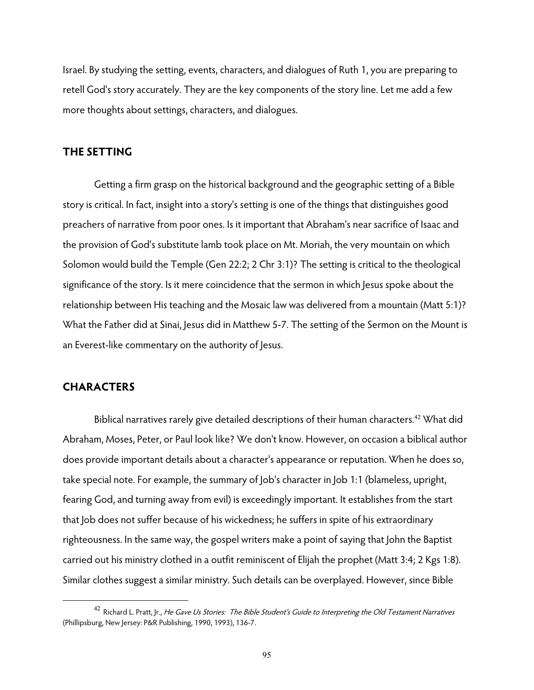Israel. By studying the setting, events, characters, and dialogues of Ruth 1, you are preparing to retell God's story accurately. They are the key components of the story line. Let me add a few more thoughts about settings, characters, and dialogues.

#### **THE SETTING**

Getting a firm grasp on the historical background and the geographic setting of a Bible story is critical. In fact, insight into a story's setting is one of the things that distinguishes good preachers of narrative from poor ones. Is it important that Abraham's near sacrifice of Isaac and the provision of God's substitute lamb took place on Mt. Moriah, the very mountain on which Solomon would build the Temple (Gen 22:2; 2 Chr 3:1)? The setting is critical to the theological significance of the story. Is it mere coincidence that the sermon in which Jesus spoke about the relationship between His teaching and the Mosaic law was delivered from a mountain (Matt 5:1)? What the Father did at Sinai, Jesus did in Matthew 5-7. The setting of the Sermon on the Mount is an Everest-like commentary on the authority of Jesus.

#### **CHARACTERS**

 $\overline{a}$ 

Biblical narratives rarely give detailed descriptions of their human characters.<sup>42</sup> What did Abraham, Moses, Peter, or Paul look like? We don't know. However, on occasion a biblical author does provide important details about a character's appearance or reputation. When he does so, take special note. For example, the summary of Job's character in Job 1:1 (blameless, upright, fearing God, and turning away from evil) is exceedingly important. It establishes from the start that Job does not suffer because of his wickedness; he suffers in spite of his extraordinary righteousness. In the same way, the gospel writers make a point of saying that John the Baptist carried out his ministry clothed in a outfit reminiscent of Elijah the prophet (Matt 3:4; 2 Kgs 1:8). Similar clothes suggest a similar ministry. Such details can be overplayed. However, since Bible

<sup>&</sup>lt;sup>42</sup> Richard L. Pratt, Jr., He Gave Us Stories: The Bible Student's Guide to Interpreting the Old Testament Narratives (Phillipsburg, New Jersey: P&R Publishing, 1990, 1993), 136-7.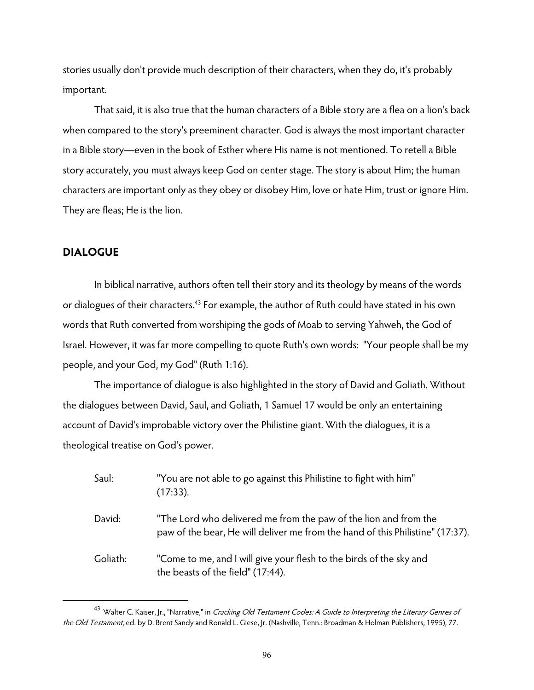stories usually don't provide much description of their characters, when they do, it's probably important.

That said, it is also true that the human characters of a Bible story are a flea on a lion's back when compared to the story's preeminent character. God is always the most important character in a Bible story—even in the book of Esther where His name is not mentioned. To retell a Bible story accurately, you must always keep God on center stage. The story is about Him; the human characters are important only as they obey or disobey Him, love or hate Him, trust or ignore Him. They are fleas; He is the lion.

#### **DIALOGUE**

 $\overline{a}$ 

 In biblical narrative, authors often tell their story and its theology by means of the words or dialogues of their characters.<sup>43</sup> For example, the author of Ruth could have stated in his own words that Ruth converted from worshiping the gods of Moab to serving Yahweh, the God of Israel. However, it was far more compelling to quote Ruth's own words: "Your people shall be my people, and your God, my God" (Ruth 1:16).

 The importance of dialogue is also highlighted in the story of David and Goliath. Without the dialogues between David, Saul, and Goliath, 1 Samuel 17 would be only an entertaining account of David's improbable victory over the Philistine giant. With the dialogues, it is a theological treatise on God's power.

| Saul:    | "You are not able to go against this Philistine to fight with him"<br>$(17:33)$ .                                                                  |
|----------|----------------------------------------------------------------------------------------------------------------------------------------------------|
| David:   | "The Lord who delivered me from the paw of the lion and from the<br>paw of the bear, He will deliver me from the hand of this Philistine" (17:37). |
| Goliath: | "Come to me, and I will give your flesh to the birds of the sky and<br>the beasts of the field" (17:44).                                           |

<sup>&</sup>lt;sup>43</sup> Walter C. Kaiser, Jr., "Narrative," in *Cracking Old Testament Codes: A Guide to Interpreting the Literary Genres of* the Old Testament, ed. by D. Brent Sandy and Ronald L. Giese, Jr. (Nashville, Tenn.: Broadman & Holman Publishers, 1995), 77.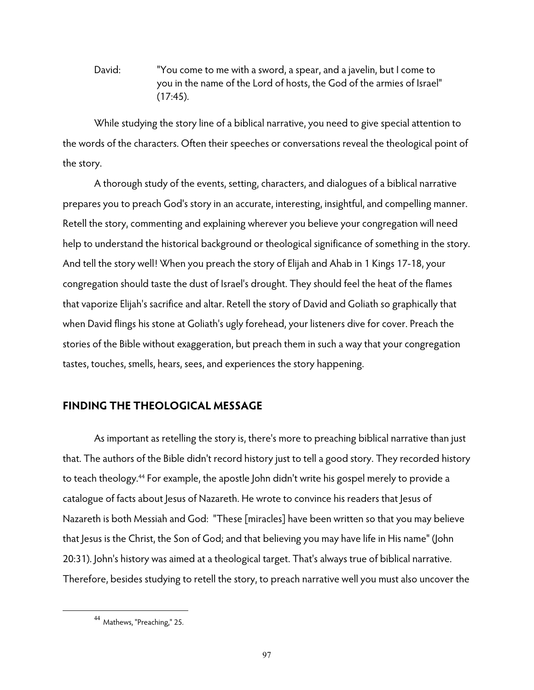David: "You come to me with a sword, a spear, and a javelin, but I come to you in the name of the Lord of hosts, the God of the armies of Israel" (17:45).

 While studying the story line of a biblical narrative, you need to give special attention to the words of the characters. Often their speeches or conversations reveal the theological point of the story.

A thorough study of the events, setting, characters, and dialogues of a biblical narrative prepares you to preach God's story in an accurate, interesting, insightful, and compelling manner. Retell the story, commenting and explaining wherever you believe your congregation will need help to understand the historical background or theological significance of something in the story. And tell the story well! When you preach the story of Elijah and Ahab in 1 Kings 17-18, your congregation should taste the dust of Israel's drought. They should feel the heat of the flames that vaporize Elijah's sacrifice and altar. Retell the story of David and Goliath so graphically that when David flings his stone at Goliath's ugly forehead, your listeners dive for cover. Preach the stories of the Bible without exaggeration, but preach them in such a way that your congregation tastes, touches, smells, hears, sees, and experiences the story happening.

# **FINDING THE THEOLOGICAL MESSAGE**

As important as retelling the story is, there's more to preaching biblical narrative than just that. The authors of the Bible didn't record history just to tell a good story. They recorded history to teach theology.44 For example, the apostle John didn't write his gospel merely to provide a catalogue of facts about Jesus of Nazareth. He wrote to convince his readers that Jesus of Nazareth is both Messiah and God: "These [miracles] have been written so that you may believe that Jesus is the Christ, the Son of God; and that believing you may have life in His name" (John 20:31). John's history was aimed at a theological target. That's always true of biblical narrative. Therefore, besides studying to retell the story, to preach narrative well you must also uncover the

<sup>44</sup> Mathews, "Preaching," 25.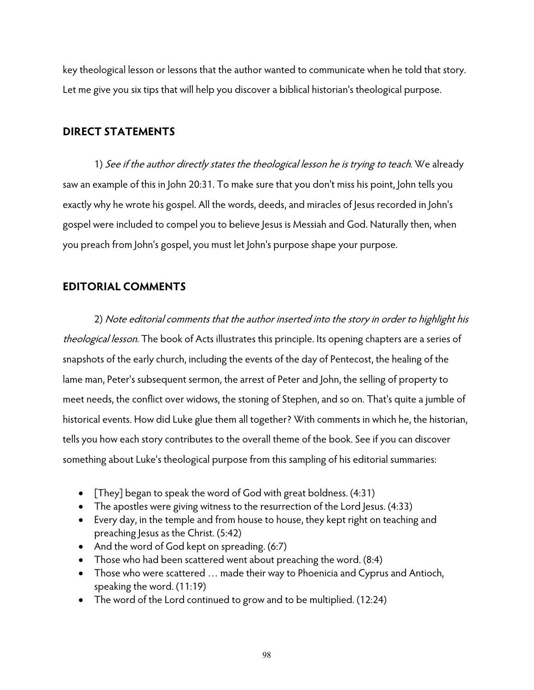key theological lesson or lessons that the author wanted to communicate when he told that story. Let me give you six tips that will help you discover a biblical historian's theological purpose.

# **DIRECT STATEMENTS**

1) See if the author directly states the theological lesson he is trying to teach. We already saw an example of this in John 20:31. To make sure that you don't miss his point, John tells you exactly why he wrote his gospel. All the words, deeds, and miracles of Jesus recorded in John's gospel were included to compel you to believe Jesus is Messiah and God. Naturally then, when you preach from John's gospel, you must let John's purpose shape your purpose.

# **EDITORIAL COMMENTS**

2) Note editorial comments that the author inserted into the story in order to highlight his theological lesson. The book of Acts illustrates this principle. Its opening chapters are a series of snapshots of the early church, including the events of the day of Pentecost, the healing of the lame man, Peter's subsequent sermon, the arrest of Peter and John, the selling of property to meet needs, the conflict over widows, the stoning of Stephen, and so on. That's quite a jumble of historical events. How did Luke glue them all together? With comments in which he, the historian, tells you how each story contributes to the overall theme of the book. See if you can discover something about Luke's theological purpose from this sampling of his editorial summaries:

- [They] began to speak the word of God with great boldness.  $(4:31)$
- The apostles were giving witness to the resurrection of the Lord Jesus. (4:33)
- Every day, in the temple and from house to house, they kept right on teaching and preaching Jesus as the Christ. (5:42)
- And the word of God kept on spreading. (6:7)
- Those who had been scattered went about preaching the word. (8:4)
- Those who were scattered … made their way to Phoenicia and Cyprus and Antioch, speaking the word. (11:19)
- The word of the Lord continued to grow and to be multiplied. (12:24)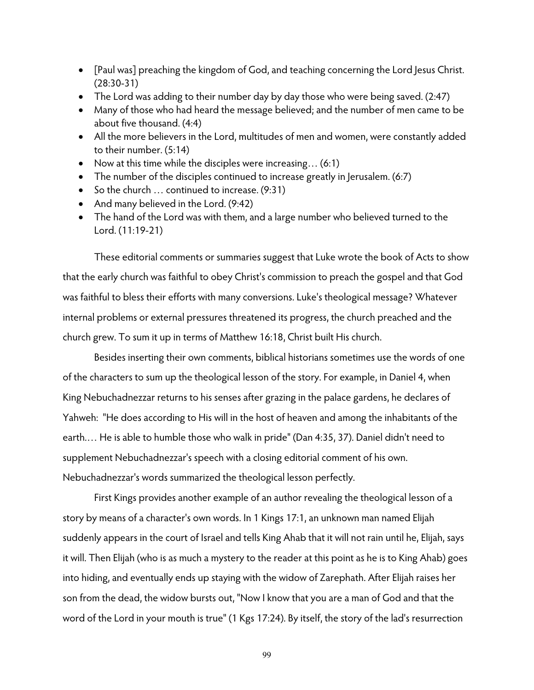- [Paul was] preaching the kingdom of God, and teaching concerning the Lord Jesus Christ. (28:30-31)
- The Lord was adding to their number day by day those who were being saved. (2:47)
- Many of those who had heard the message believed; and the number of men came to be about five thousand. (4:4)
- All the more believers in the Lord, multitudes of men and women, were constantly added to their number. (5:14)
- Now at this time while the disciples were increasing... (6:1)
- The number of the disciples continued to increase greatly in Jerusalem. (6:7)
- So the church ... continued to increase. (9:31)
- And many believed in the Lord. (9:42)
- The hand of the Lord was with them, and a large number who believed turned to the Lord. (11:19-21)

These editorial comments or summaries suggest that Luke wrote the book of Acts to show that the early church was faithful to obey Christ's commission to preach the gospel and that God was faithful to bless their efforts with many conversions. Luke's theological message? Whatever internal problems or external pressures threatened its progress, the church preached and the church grew. To sum it up in terms of Matthew 16:18, Christ built His church.

 Besides inserting their own comments, biblical historians sometimes use the words of one of the characters to sum up the theological lesson of the story. For example, in Daniel 4, when King Nebuchadnezzar returns to his senses after grazing in the palace gardens, he declares of Yahweh: "He does according to His will in the host of heaven and among the inhabitants of the earth.… He is able to humble those who walk in pride" (Dan 4:35, 37). Daniel didn't need to supplement Nebuchadnezzar's speech with a closing editorial comment of his own. Nebuchadnezzar's words summarized the theological lesson perfectly.

First Kings provides another example of an author revealing the theological lesson of a story by means of a character's own words. In 1 Kings 17:1, an unknown man named Elijah suddenly appears in the court of Israel and tells King Ahab that it will not rain until he, Elijah, says it will. Then Elijah (who is as much a mystery to the reader at this point as he is to King Ahab) goes into hiding, and eventually ends up staying with the widow of Zarephath. After Elijah raises her son from the dead, the widow bursts out, "Now I know that you are a man of God and that the word of the Lord in your mouth is true" (1 Kgs 17:24). By itself, the story of the lad's resurrection

99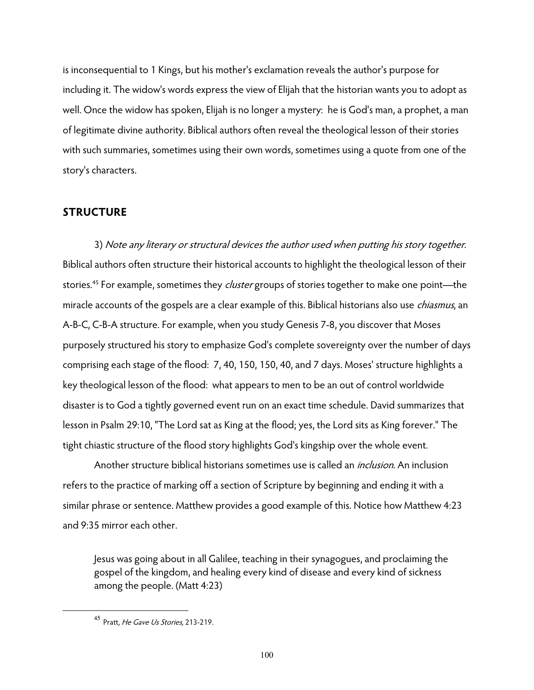is inconsequential to 1 Kings, but his mother's exclamation reveals the author's purpose for including it. The widow's words express the view of Elijah that the historian wants you to adopt as well. Once the widow has spoken, Elijah is no longer a mystery: he is God's man, a prophet, a man of legitimate divine authority. Biblical authors often reveal the theological lesson of their stories with such summaries, sometimes using their own words, sometimes using a quote from one of the story's characters.

### **STRUCTURE**

 3) Note any literary or structural devices the author used when putting his story together. Biblical authors often structure their historical accounts to highlight the theological lesson of their stories.<sup>45</sup> For example, sometimes they *cluster* groups of stories together to make one point—the miracle accounts of the gospels are a clear example of this. Biblical historians also use *chiasmus*, an A-B-C, C-B-A structure. For example, when you study Genesis 7-8, you discover that Moses purposely structured his story to emphasize God's complete sovereignty over the number of days comprising each stage of the flood: 7, 40, 150, 150, 40, and 7 days. Moses' structure highlights a key theological lesson of the flood: what appears to men to be an out of control worldwide disaster is to God a tightly governed event run on an exact time schedule. David summarizes that lesson in Psalm 29:10, "The Lord sat as King at the flood; yes, the Lord sits as King forever." The tight chiastic structure of the flood story highlights God's kingship over the whole event.

Another structure biblical historians sometimes use is called an *inclusion*. An inclusion refers to the practice of marking off a section of Scripture by beginning and ending it with a similar phrase or sentence. Matthew provides a good example of this. Notice how Matthew 4:23 and 9:35 mirror each other.

Jesus was going about in all Galilee, teaching in their synagogues, and proclaiming the gospel of the kingdom, and healing every kind of disease and every kind of sickness among the people. (Matt 4:23)

<sup>45</sup> Pratt, He Gave Us Stories, 213-219.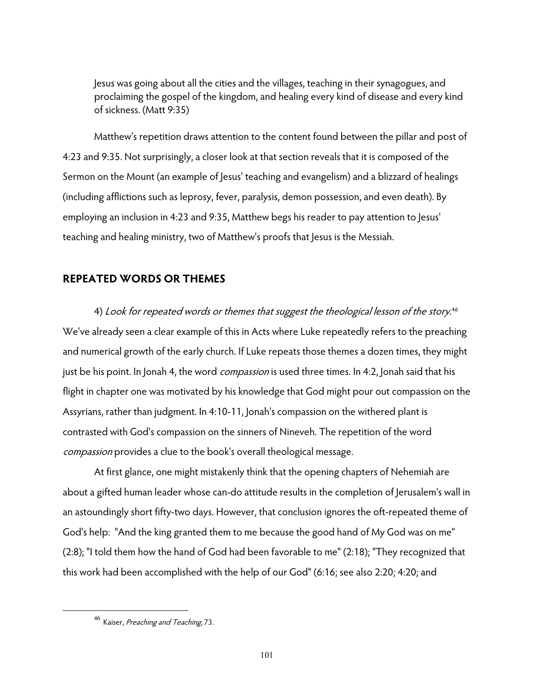Jesus was going about all the cities and the villages, teaching in their synagogues, and proclaiming the gospel of the kingdom, and healing every kind of disease and every kind of sickness. (Matt 9:35)

 Matthew's repetition draws attention to the content found between the pillar and post of 4:23 and 9:35. Not surprisingly, a closer look at that section reveals that it is composed of the Sermon on the Mount (an example of Jesus' teaching and evangelism) and a blizzard of healings (including afflictions such as leprosy, fever, paralysis, demon possession, and even death). By employing an inclusion in 4:23 and 9:35, Matthew begs his reader to pay attention to Jesus' teaching and healing ministry, two of Matthew's proofs that Jesus is the Messiah.

### **REPEATED WORDS OR THEMES**

 4) Look for repeated words or themes that suggest the theological lesson of the story. 46 We've already seen a clear example of this in Acts where Luke repeatedly refers to the preaching and numerical growth of the early church. If Luke repeats those themes a dozen times, they might just be his point. In Jonah 4, the word *compassion* is used three times. In 4:2, Jonah said that his flight in chapter one was motivated by his knowledge that God might pour out compassion on the Assyrians, rather than judgment. In 4:10-11, Jonah's compassion on the withered plant is contrasted with God's compassion on the sinners of Nineveh. The repetition of the word compassion provides a clue to the book's overall theological message.

At first glance, one might mistakenly think that the opening chapters of Nehemiah are about a gifted human leader whose can-do attitude results in the completion of Jerusalem's wall in an astoundingly short fifty-two days. However, that conclusion ignores the oft-repeated theme of God's help: "And the king granted them to me because the good hand of My God was on me" (2:8); "I told them how the hand of God had been favorable to me" (2:18); "They recognized that this work had been accomplished with the help of our God" (6:16; see also 2:20; 4:20; and

<sup>&</sup>lt;sup>46</sup> Kaiser, *Preaching and Teaching*, 73.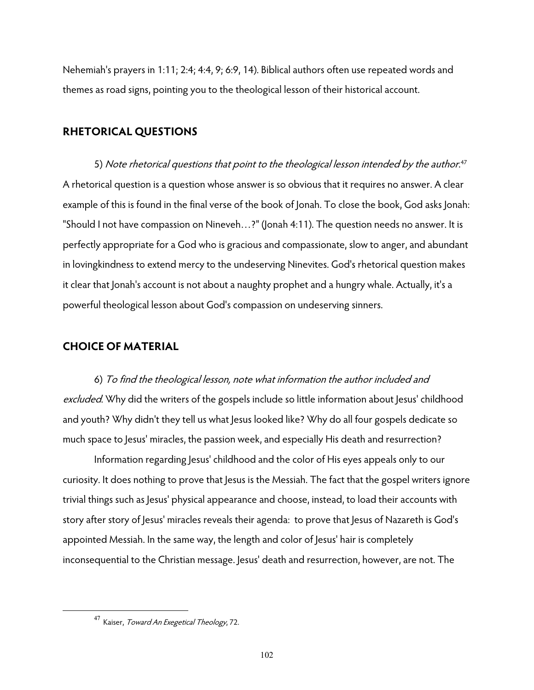Nehemiah's prayers in 1:11; 2:4; 4:4, 9; 6:9, 14). Biblical authors often use repeated words and themes as road signs, pointing you to the theological lesson of their historical account.

#### **RHETORICAL QUESTIONS**

 5) Note rhetorical questions that point to the theological lesson intended by the author. 47 A rhetorical question is a question whose answer is so obvious that it requires no answer. A clear example of this is found in the final verse of the book of Jonah. To close the book, God asks Jonah: "Should I not have compassion on Nineveh…?" (Jonah 4:11). The question needs no answer. It is perfectly appropriate for a God who is gracious and compassionate, slow to anger, and abundant in lovingkindness to extend mercy to the undeserving Ninevites. God's rhetorical question makes it clear that Jonah's account is not about a naughty prophet and a hungry whale. Actually, it's a powerful theological lesson about God's compassion on undeserving sinners.

## **CHOICE OF MATERIAL**

 6) To find the theological lesson, note what information the author included and excluded. Why did the writers of the gospels include so little information about Jesus' childhood and youth? Why didn't they tell us what Jesus looked like? Why do all four gospels dedicate so much space to Jesus' miracles, the passion week, and especially His death and resurrection?

 Information regarding Jesus' childhood and the color of His eyes appeals only to our curiosity. It does nothing to prove that Jesus is the Messiah. The fact that the gospel writers ignore trivial things such as Jesus' physical appearance and choose, instead, to load their accounts with story after story of Jesus' miracles reveals their agenda: to prove that Jesus of Nazareth is God's appointed Messiah. In the same way, the length and color of Jesus' hair is completely inconsequential to the Christian message. Jesus' death and resurrection, however, are not. The

<sup>&</sup>lt;sup>47</sup> Kaiser, *Toward An Exegetical Theology*, 72.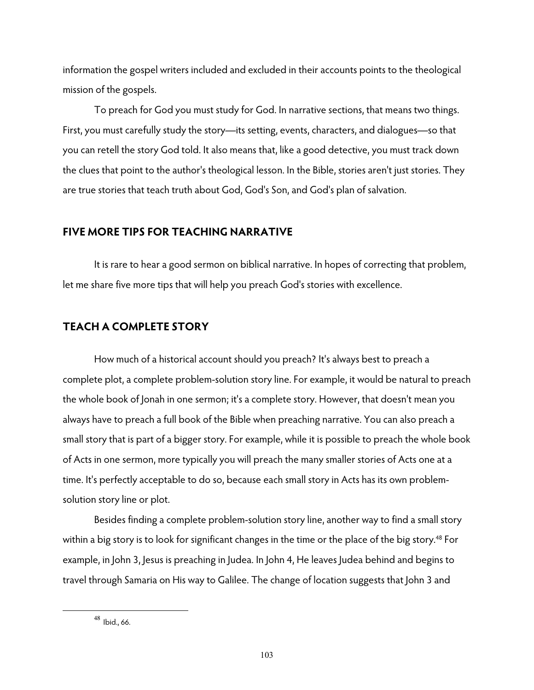information the gospel writers included and excluded in their accounts points to the theological mission of the gospels.

To preach for God you must study for God. In narrative sections, that means two things. First, you must carefully study the story—its setting, events, characters, and dialogues—so that you can retell the story God told. It also means that, like a good detective, you must track down the clues that point to the author's theological lesson. In the Bible, stories aren't just stories. They are true stories that teach truth about God, God's Son, and God's plan of salvation.

## **FIVE MORE TIPS FOR TEACHING NARRATIVE**

 It is rare to hear a good sermon on biblical narrative. In hopes of correcting that problem, let me share five more tips that will help you preach God's stories with excellence.

## **TEACH A COMPLETE STORY**

How much of a historical account should you preach? It's always best to preach a complete plot, a complete problem-solution story line. For example, it would be natural to preach the whole book of Jonah in one sermon; it's a complete story. However, that doesn't mean you always have to preach a full book of the Bible when preaching narrative. You can also preach a small story that is part of a bigger story. For example, while it is possible to preach the whole book of Acts in one sermon, more typically you will preach the many smaller stories of Acts one at a time. It's perfectly acceptable to do so, because each small story in Acts has its own problemsolution story line or plot.

Besides finding a complete problem-solution story line, another way to find a small story within a big story is to look for significant changes in the time or the place of the big story.<sup>48</sup> For example, in John 3, Jesus is preaching in Judea. In John 4, He leaves Judea behind and begins to travel through Samaria on His way to Galilee. The change of location suggests that John 3 and

<sup>48</sup> Ibid., 66.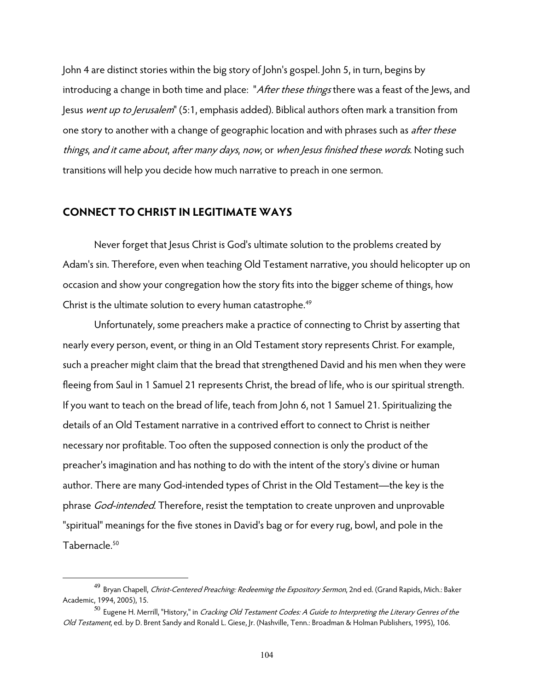John 4 are distinct stories within the big story of John's gospel. John 5, in turn, begins by introducing a change in both time and place: "After these things there was a feast of the Jews, and Jesus went up to Jerusalem" (5:1, emphasis added). Biblical authors often mark a transition from one story to another with a change of geographic location and with phrases such as *after these* things, and it came about, after many days, now, or when Jesus finished these words. Noting such transitions will help you decide how much narrative to preach in one sermon.

## **CONNECT TO CHRIST IN LEGITIMATE WAYS**

 $\overline{a}$ 

 Never forget that Jesus Christ is God's ultimate solution to the problems created by Adam's sin. Therefore, even when teaching Old Testament narrative, you should helicopter up on occasion and show your congregation how the story fits into the bigger scheme of things, how Christ is the ultimate solution to every human catastrophe.<sup>49</sup>

 Unfortunately, some preachers make a practice of connecting to Christ by asserting that nearly every person, event, or thing in an Old Testament story represents Christ. For example, such a preacher might claim that the bread that strengthened David and his men when they were fleeing from Saul in 1 Samuel 21 represents Christ, the bread of life, who is our spiritual strength. If you want to teach on the bread of life, teach from John 6, not 1 Samuel 21. Spiritualizing the details of an Old Testament narrative in a contrived effort to connect to Christ is neither necessary nor profitable. Too often the supposed connection is only the product of the preacher's imagination and has nothing to do with the intent of the story's divine or human author. There are many God-intended types of Christ in the Old Testament—the key is the phrase God-intended. Therefore, resist the temptation to create unproven and unprovable "spiritual" meanings for the five stones in David's bag or for every rug, bowl, and pole in the Tabernacle.<sup>50</sup>

<sup>&</sup>lt;sup>49</sup> Bryan Chapell, *Christ-Centered Preaching: Redeeming the Expository Sermon*, 2nd ed. (Grand Rapids, Mich.: Baker Academic, 1994, 2005), 15.

 $^{50}$  Eugene H. Merrill, "History," in *Cracking Old Testament Codes: A Guide to Interpreting the Literary Genres of the* Old Testament, ed. by D. Brent Sandy and Ronald L. Giese, Jr. (Nashville, Tenn.: Broadman & Holman Publishers, 1995), 106.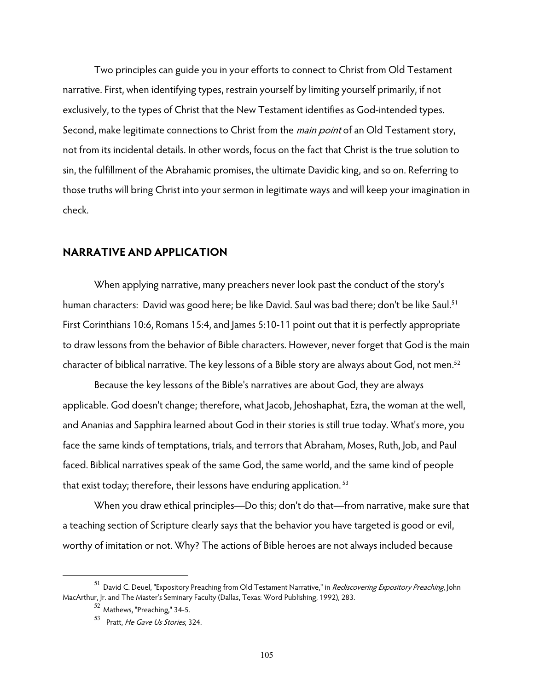Two principles can guide you in your efforts to connect to Christ from Old Testament narrative. First, when identifying types, restrain yourself by limiting yourself primarily, if not exclusively, to the types of Christ that the New Testament identifies as God-intended types. Second, make legitimate connections to Christ from the *main point* of an Old Testament story, not from its incidental details. In other words, focus on the fact that Christ is the true solution to sin, the fulfillment of the Abrahamic promises, the ultimate Davidic king, and so on. Referring to those truths will bring Christ into your sermon in legitimate ways and will keep your imagination in check.

#### **NARRATIVE AND APPLICATION**

 When applying narrative, many preachers never look past the conduct of the story's human characters: David was good here; be like David. Saul was bad there; don't be like Saul.<sup>51</sup> First Corinthians 10:6, Romans 15:4, and James 5:10-11 point out that it is perfectly appropriate to draw lessons from the behavior of Bible characters. However, never forget that God is the main character of biblical narrative. The key lessons of a Bible story are always about God, not men.<sup>52</sup>

Because the key lessons of the Bible's narratives are about God, they are always applicable. God doesn't change; therefore, what Jacob, Jehoshaphat, Ezra, the woman at the well, and Ananias and Sapphira learned about God in their stories is still true today. What's more, you face the same kinds of temptations, trials, and terrors that Abraham, Moses, Ruth, Job, and Paul faced. Biblical narratives speak of the same God, the same world, and the same kind of people that exist today; therefore, their lessons have enduring application.<sup>53</sup>

 When you draw ethical principles—Do this; don't do that—from narrative, make sure that a teaching section of Scripture clearly says that the behavior you have targeted is good or evil, worthy of imitation or not. Why? The actions of Bible heroes are not always included because

 $^{51}$  David C. Deuel, "Expository Preaching from Old Testament Narrative," in *Rediscovering Expository Preaching*, John MacArthur, Jr. and The Master's Seminary Faculty (Dallas, Texas: Word Publishing, 1992), 283.

<sup>52</sup> Mathews, "Preaching," 34-5.

<sup>53</sup> Pratt, He Gave Us Stories, 324.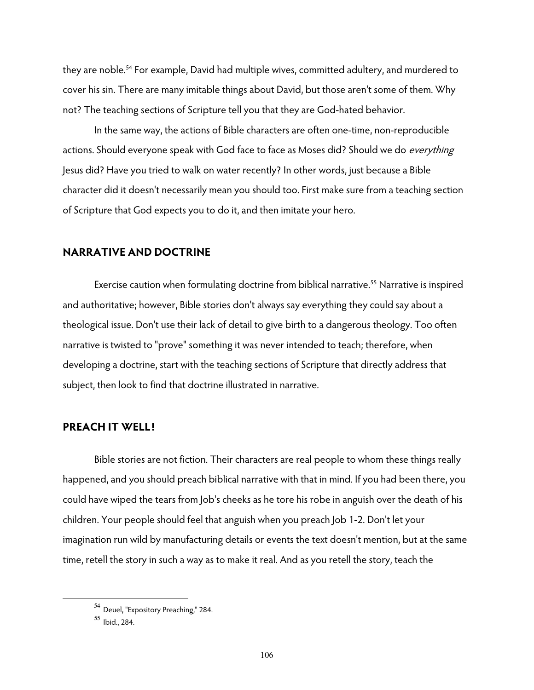they are noble.<sup>54</sup> For example, David had multiple wives, committed adultery, and murdered to cover his sin. There are many imitable things about David, but those aren't some of them. Why not? The teaching sections of Scripture tell you that they are God-hated behavior.

In the same way, the actions of Bible characters are often one-time, non-reproducible actions. Should everyone speak with God face to face as Moses did? Should we do *everything* Jesus did? Have you tried to walk on water recently? In other words, just because a Bible character did it doesn't necessarily mean you should too. First make sure from a teaching section of Scripture that God expects you to do it, and then imitate your hero.

#### **NARRATIVE AND DOCTRINE**

Exercise caution when formulating doctrine from biblical narrative.<sup>55</sup> Narrative is inspired and authoritative; however, Bible stories don't always say everything they could say about a theological issue. Don't use their lack of detail to give birth to a dangerous theology. Too often narrative is twisted to "prove" something it was never intended to teach; therefore, when developing a doctrine, start with the teaching sections of Scripture that directly address that subject, then look to find that doctrine illustrated in narrative.

## **PREACH IT WELL!**

Bible stories are not fiction. Their characters are real people to whom these things really happened, and you should preach biblical narrative with that in mind. If you had been there, you could have wiped the tears from Job's cheeks as he tore his robe in anguish over the death of his children. Your people should feel that anguish when you preach Job 1-2. Don't let your imagination run wild by manufacturing details or events the text doesn't mention, but at the same time, retell the story in such a way as to make it real. And as you retell the story, teach the

<sup>54</sup> Deuel, "Expository Preaching," 284.

<sup>55</sup> Ibid., 284.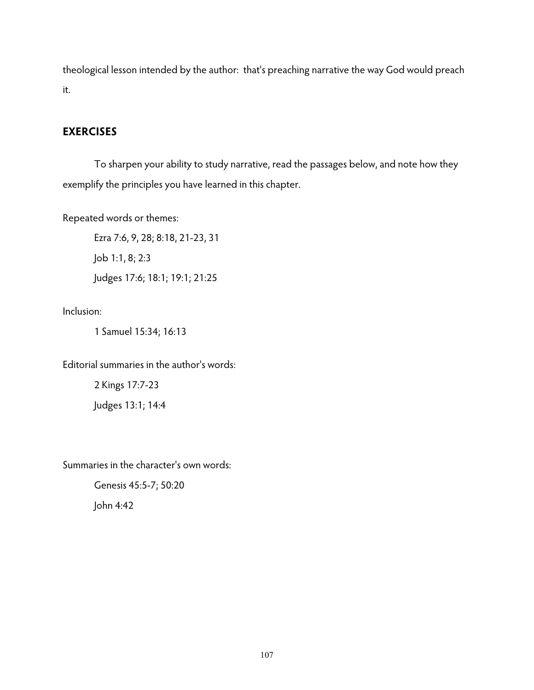theological lesson intended by the author: that's preaching narrative the way God would preach it.

## **EXERCISES**

 To sharpen your ability to study narrative, read the passages below, and note how they exemplify the principles you have learned in this chapter.

Repeated words or themes:

Ezra 7:6, 9, 28; 8:18, 21-23, 31 Job 1:1, 8; 2:3 Judges 17:6; 18:1; 19:1; 21:25

Inclusion:

1 Samuel 15:34; 16:13

Editorial summaries in the author's words:

2 Kings 17:7-23 Judges 13:1; 14:4

Summaries in the character's own words:

Genesis 45:5-7; 50:20 John 4:42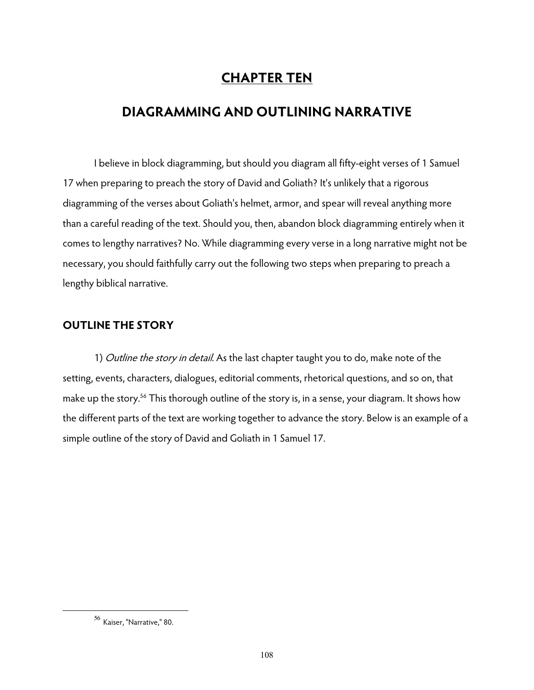# **CHAPTER TEN**

## **DIAGRAMMING AND OUTLINING NARRATIVE**

 I believe in block diagramming, but should you diagram all fifty-eight verses of 1 Samuel 17 when preparing to preach the story of David and Goliath? It's unlikely that a rigorous diagramming of the verses about Goliath's helmet, armor, and spear will reveal anything more than a careful reading of the text. Should you, then, abandon block diagramming entirely when it comes to lengthy narratives? No. While diagramming every verse in a long narrative might not be necessary, you should faithfully carry out the following two steps when preparing to preach a lengthy biblical narrative.

## **OUTLINE THE STORY**

1) Outline the story in detail. As the last chapter taught you to do, make note of the setting, events, characters, dialogues, editorial comments, rhetorical questions, and so on, that make up the story.<sup>56</sup> This thorough outline of the story is, in a sense, your diagram. It shows how the different parts of the text are working together to advance the story. Below is an example of a simple outline of the story of David and Goliath in 1 Samuel 17.

<sup>56</sup> Kaiser, "Narrative," 80.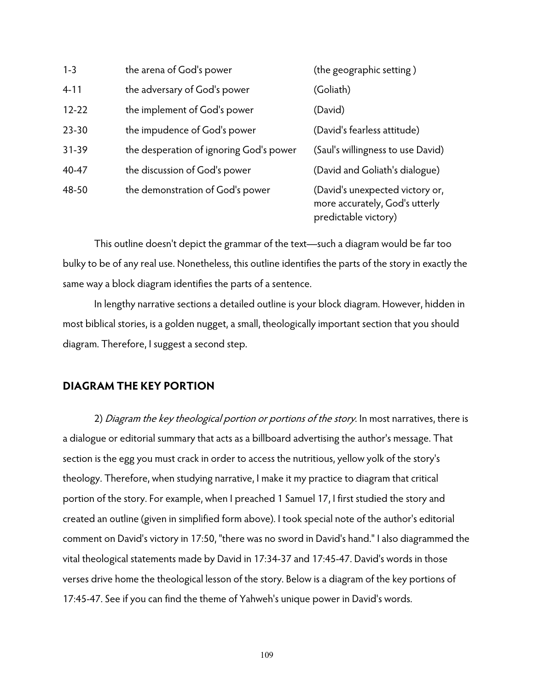| $1 - 3$   | the arena of God's power                | (the geographic setting)                                                                  |
|-----------|-----------------------------------------|-------------------------------------------------------------------------------------------|
| $4 - 11$  | the adversary of God's power            | (Goliath)                                                                                 |
| $12 - 22$ | the implement of God's power            | (David)                                                                                   |
| $23 - 30$ | the impudence of God's power            | (David's fearless attitude)                                                               |
| $31 - 39$ | the desperation of ignoring God's power | (Saul's willingness to use David)                                                         |
| 40-47     | the discussion of God's power           | (David and Goliath's dialogue)                                                            |
| 48-50     | the demonstration of God's power        | (David's unexpected victory or,<br>more accurately, God's utterly<br>predictable victory) |

This outline doesn't depict the grammar of the text—such a diagram would be far too bulky to be of any real use. Nonetheless, this outline identifies the parts of the story in exactly the same way a block diagram identifies the parts of a sentence.

In lengthy narrative sections a detailed outline is your block diagram. However, hidden in most biblical stories, is a golden nugget, a small, theologically important section that you should diagram. Therefore, I suggest a second step.

## **DIAGRAM THE KEY PORTION**

2) Diagram the key theological portion or portions of the story. In most narratives, there is a dialogue or editorial summary that acts as a billboard advertising the author's message. That section is the egg you must crack in order to access the nutritious, yellow yolk of the story's theology. Therefore, when studying narrative, I make it my practice to diagram that critical portion of the story. For example, when I preached 1 Samuel 17, I first studied the story and created an outline (given in simplified form above). I took special note of the author's editorial comment on David's victory in 17:50, "there was no sword in David's hand." I also diagrammed the vital theological statements made by David in 17:34-37 and 17:45-47. David's words in those verses drive home the theological lesson of the story. Below is a diagram of the key portions of 17:45-47. See if you can find the theme of Yahweh's unique power in David's words.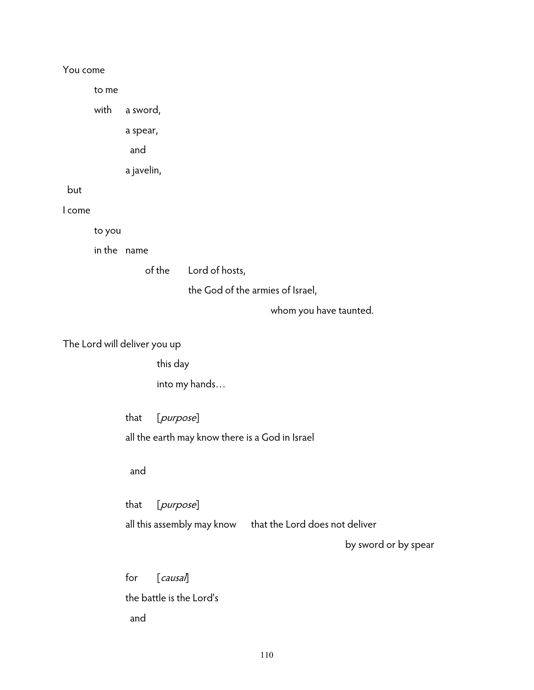## You come

to me

with a sword,

a spear,

and

a javelin,

but

I come

to you

in the name

of the Lord of hosts,

the God of the armies of Israel,

whom you have taunted.

The Lord will deliver you up

this day

into my hands…

that [purpose]

all the earth may know there is a God in Israel

#### and

that [purpose] all this assembly may know that the Lord does not deliver

by sword or by spear

for [causal] the battle is the Lord's and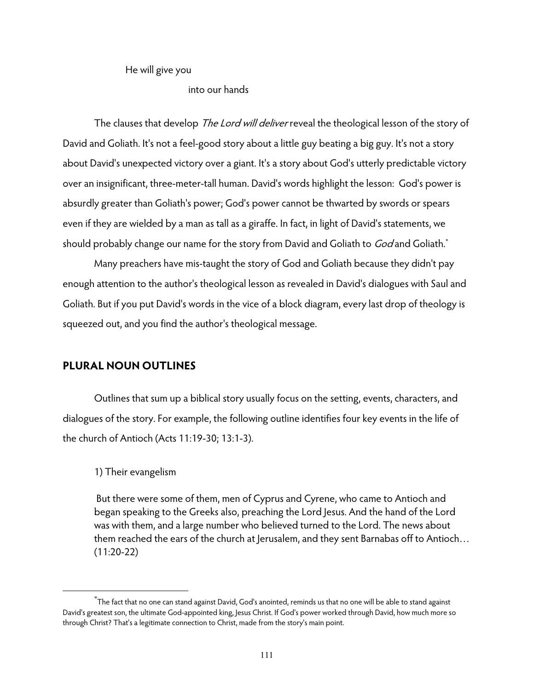He will give you

### into our hands

The clauses that develop The Lord will deliver reveal the theological lesson of the story of David and Goliath. It's not a feel-good story about a little guy beating a big guy. It's not a story about David's unexpected victory over a giant. It's a story about God's utterly predictable victory over an insignificant, three-meter-tall human. David's words highlight the lesson: God's power is absurdly greater than Goliath's power; God's power cannot be thwarted by swords or spears even if they are wielded by a man as tall as a giraffe. In fact, in light of David's statements, we should probably change our name for the story from David and Goliath to God and Goliath.<sup>\*</sup>

Many preachers have mis-taught the story of God and Goliath because they didn't pay enough attention to the author's theological lesson as revealed in David's dialogues with Saul and Goliath. But if you put David's words in the vice of a block diagram, every last drop of theology is squeezed out, and you find the author's theological message.

## **PLURAL NOUN OUTLINES**

Outlines that sum up a biblical story usually focus on the setting, events, characters, and dialogues of the story. For example, the following outline identifies four key events in the life of the church of Antioch (Acts 11:19-30; 13:1-3).

## 1) Their evangelism

 $\overline{a}$ 

 But there were some of them, men of Cyprus and Cyrene, who came to Antioch and began speaking to the Greeks also, preaching the Lord Jesus. And the hand of the Lord was with them, and a large number who believed turned to the Lord. The news about them reached the ears of the church at Jerusalem, and they sent Barnabas off to Antioch… (11:20-22)

 $\rm ^*$ The fact that no one can stand against David, God's anointed, reminds us that no one will be able to stand against David's greatest son, the ultimate God-appointed king, Jesus Christ. If God's power worked through David, how much more so through Christ? That's a legitimate connection to Christ, made from the story's main point.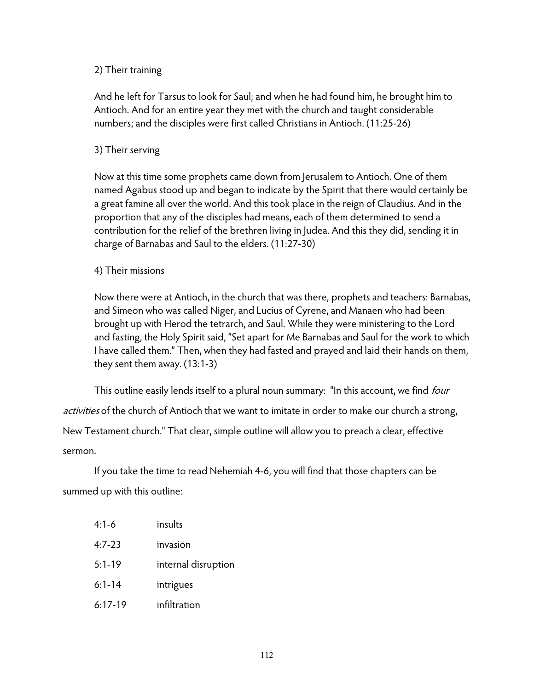## 2) Their training

And he left for Tarsus to look for Saul; and when he had found him, he brought him to Antioch. And for an entire year they met with the church and taught considerable numbers; and the disciples were first called Christians in Antioch. (11:25-26)

## 3) Their serving

Now at this time some prophets came down from Jerusalem to Antioch. One of them named Agabus stood up and began to indicate by the Spirit that there would certainly be a great famine all over the world. And this took place in the reign of Claudius. And in the proportion that any of the disciples had means, each of them determined to send a contribution for the relief of the brethren living in Judea. And this they did, sending it in charge of Barnabas and Saul to the elders. (11:27-30)

## 4) Their missions

Now there were at Antioch, in the church that was there, prophets and teachers: Barnabas, and Simeon who was called Niger, and Lucius of Cyrene, and Manaen who had been brought up with Herod the tetrarch, and Saul. While they were ministering to the Lord and fasting, the Holy Spirit said, "Set apart for Me Barnabas and Saul for the work to which I have called them." Then, when they had fasted and prayed and laid their hands on them, they sent them away. (13:1-3)

This outline easily lends itself to a plural noun summary: "In this account, we find *four* activities of the church of Antioch that we want to imitate in order to make our church a strong, New Testament church." That clear, simple outline will allow you to preach a clear, effective sermon.

 If you take the time to read Nehemiah 4-6, you will find that those chapters can be summed up with this outline:

| $4:1-6$    | insults             |
|------------|---------------------|
| $4:7-23$   | invasion            |
| $5:1 - 19$ | internal disruption |
| $6:1 - 14$ | intrigues           |
| $6:17-19$  | infiltration        |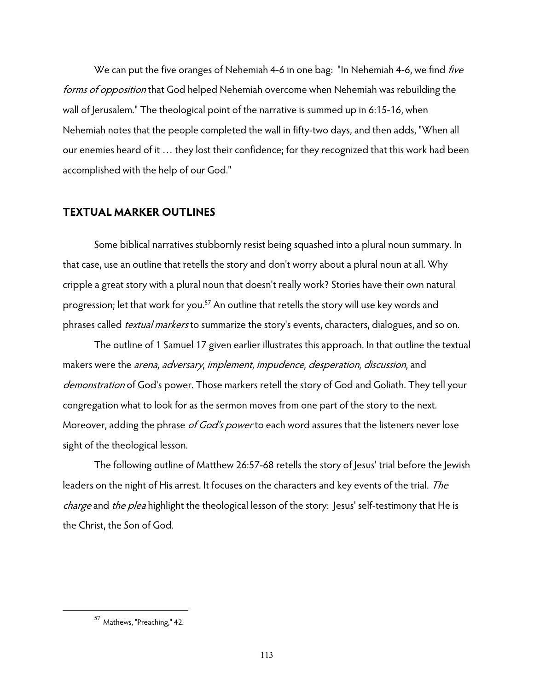We can put the five oranges of Nehemiah 4-6 in one bag: "In Nehemiah 4-6, we find *five* forms of opposition that God helped Nehemiah overcome when Nehemiah was rebuilding the wall of Jerusalem." The theological point of the narrative is summed up in 6:15-16, when Nehemiah notes that the people completed the wall in fifty-two days, and then adds, "When all our enemies heard of it … they lost their confidence; for they recognized that this work had been accomplished with the help of our God."

## **TEXTUAL MARKER OUTLINES**

 Some biblical narratives stubbornly resist being squashed into a plural noun summary. In that case, use an outline that retells the story and don't worry about a plural noun at all. Why cripple a great story with a plural noun that doesn't really work? Stories have their own natural progression; let that work for you.<sup>57</sup> An outline that retells the story will use key words and phrases called *textual markers* to summarize the story's events, characters, dialogues, and so on.

 The outline of 1 Samuel 17 given earlier illustrates this approach. In that outline the textual makers were the *arena*, *adversary*, *implement*, *impudence*, *desperation*, *discussion*, and demonstration of God's power. Those markers retell the story of God and Goliath. They tell your congregation what to look for as the sermon moves from one part of the story to the next. Moreover, adding the phrase of God's power to each word assures that the listeners never lose sight of the theological lesson.

The following outline of Matthew 26:57-68 retells the story of Jesus' trial before the Jewish leaders on the night of His arrest. It focuses on the characters and key events of the trial. The charge and the plea highlight the theological lesson of the story: Jesus' self-testimony that He is the Christ, the Son of God.

<sup>57</sup> Mathews, "Preaching," 42.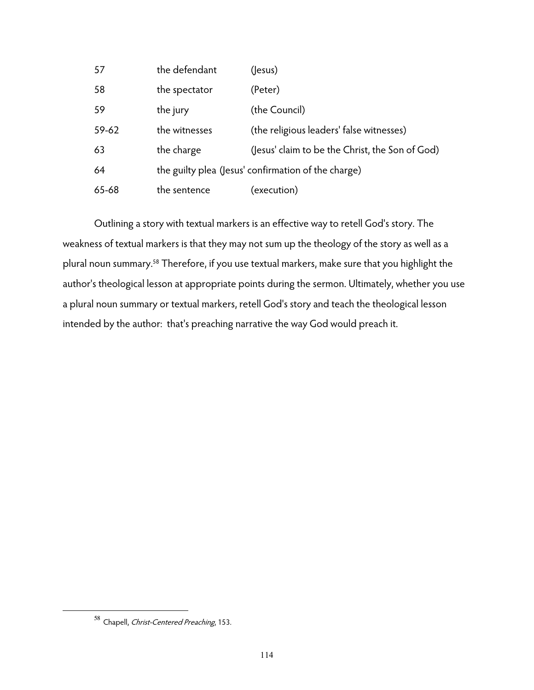| 57    | the defendant | (Jesus)                                             |
|-------|---------------|-----------------------------------------------------|
| 58    | the spectator | (Peter)                                             |
| 59    | the jury      | (the Council)                                       |
| 59-62 | the witnesses | (the religious leaders' false witnesses)            |
| 63    | the charge    | (Jesus' claim to be the Christ, the Son of God)     |
| 64    |               | the guilty plea (Jesus' confirmation of the charge) |
| 65-68 | the sentence  | (execution)                                         |

 Outlining a story with textual markers is an effective way to retell God's story. The weakness of textual markers is that they may not sum up the theology of the story as well as a plural noun summary.58 Therefore, if you use textual markers, make sure that you highlight the author's theological lesson at appropriate points during the sermon. Ultimately, whether you use a plural noun summary or textual markers, retell God's story and teach the theological lesson intended by the author: that's preaching narrative the way God would preach it.

<sup>58</sup> Chapell, Christ-Centered Preaching, 153.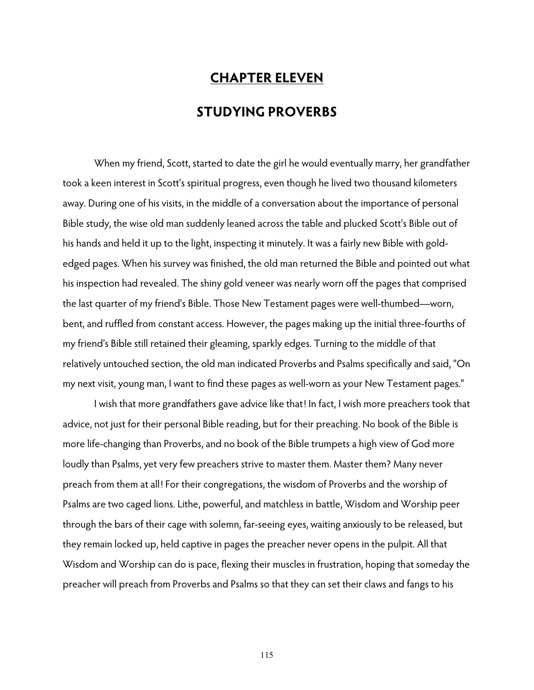# **CHAPTER ELEVEN STUDYING PROVERBS**

 When my friend, Scott, started to date the girl he would eventually marry, her grandfather took a keen interest in Scott's spiritual progress, even though he lived two thousand kilometers away. During one of his visits, in the middle of a conversation about the importance of personal Bible study, the wise old man suddenly leaned across the table and plucked Scott's Bible out of his hands and held it up to the light, inspecting it minutely. It was a fairly new Bible with goldedged pages. When his survey was finished, the old man returned the Bible and pointed out what his inspection had revealed. The shiny gold veneer was nearly worn off the pages that comprised the last quarter of my friend's Bible. Those New Testament pages were well-thumbed—worn, bent, and ruffled from constant access. However, the pages making up the initial three-fourths of my friend's Bible still retained their gleaming, sparkly edges. Turning to the middle of that relatively untouched section, the old man indicated Proverbs and Psalms specifically and said, "On my next visit, young man, I want to find these pages as well-worn as your New Testament pages."

I wish that more grandfathers gave advice like that! In fact, I wish more preachers took that advice, not just for their personal Bible reading, but for their preaching. No book of the Bible is more life-changing than Proverbs, and no book of the Bible trumpets a high view of God more loudly than Psalms, yet very few preachers strive to master them. Master them? Many never preach from them at all! For their congregations, the wisdom of Proverbs and the worship of Psalms are two caged lions. Lithe, powerful, and matchless in battle, Wisdom and Worship peer through the bars of their cage with solemn, far-seeing eyes, waiting anxiously to be released, but they remain locked up, held captive in pages the preacher never opens in the pulpit. All that Wisdom and Worship can do is pace, flexing their muscles in frustration, hoping that someday the preacher will preach from Proverbs and Psalms so that they can set their claws and fangs to his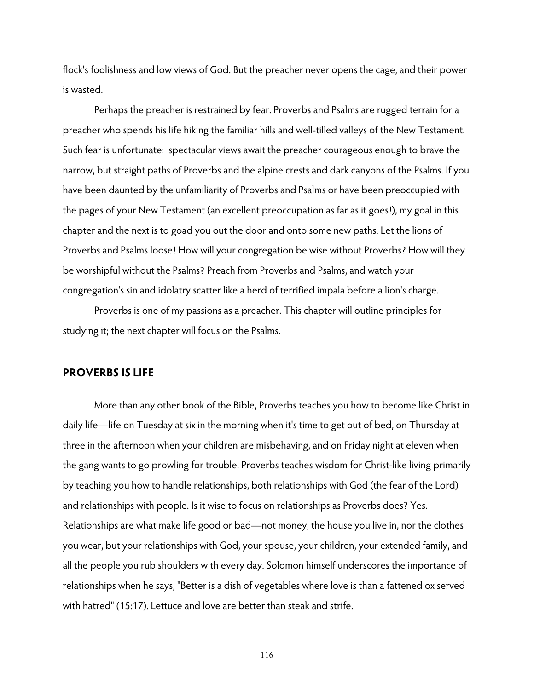flock's foolishness and low views of God. But the preacher never opens the cage, and their power is wasted.

 Perhaps the preacher is restrained by fear. Proverbs and Psalms are rugged terrain for a preacher who spends his life hiking the familiar hills and well-tilled valleys of the New Testament. Such fear is unfortunate: spectacular views await the preacher courageous enough to brave the narrow, but straight paths of Proverbs and the alpine crests and dark canyons of the Psalms. If you have been daunted by the unfamiliarity of Proverbs and Psalms or have been preoccupied with the pages of your New Testament (an excellent preoccupation as far as it goes!), my goal in this chapter and the next is to goad you out the door and onto some new paths. Let the lions of Proverbs and Psalms loose! How will your congregation be wise without Proverbs? How will they be worshipful without the Psalms? Preach from Proverbs and Psalms, and watch your congregation's sin and idolatry scatter like a herd of terrified impala before a lion's charge.

 Proverbs is one of my passions as a preacher. This chapter will outline principles for studying it; the next chapter will focus on the Psalms.

#### **PROVERBS IS LIFE**

 More than any other book of the Bible, Proverbs teaches you how to become like Christ in daily life—life on Tuesday at six in the morning when it's time to get out of bed, on Thursday at three in the afternoon when your children are misbehaving, and on Friday night at eleven when the gang wants to go prowling for trouble. Proverbs teaches wisdom for Christ-like living primarily by teaching you how to handle relationships, both relationships with God (the fear of the Lord) and relationships with people. Is it wise to focus on relationships as Proverbs does? Yes. Relationships are what make life good or bad—not money, the house you live in, nor the clothes you wear, but your relationships with God, your spouse, your children, your extended family, and all the people you rub shoulders with every day. Solomon himself underscores the importance of relationships when he says, "Better is a dish of vegetables where love is than a fattened ox served with hatred" (15:17). Lettuce and love are better than steak and strife.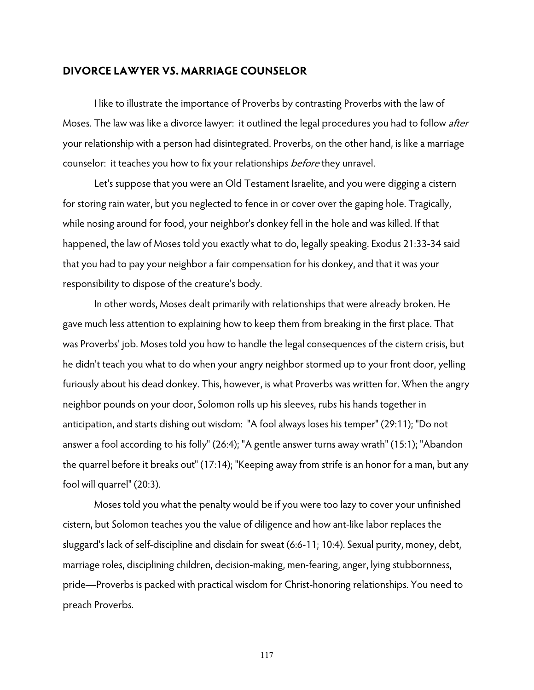#### **DIVORCE LAWYER VS. MARRIAGE COUNSELOR**

I like to illustrate the importance of Proverbs by contrasting Proverbs with the law of Moses. The law was like a divorce lawyer: it outlined the legal procedures you had to follow after your relationship with a person had disintegrated. Proverbs, on the other hand, is like a marriage counselor: it teaches you how to fix your relationships *before* they unravel.

 Let's suppose that you were an Old Testament Israelite, and you were digging a cistern for storing rain water, but you neglected to fence in or cover over the gaping hole. Tragically, while nosing around for food, your neighbor's donkey fell in the hole and was killed. If that happened, the law of Moses told you exactly what to do, legally speaking. Exodus 21:33-34 said that you had to pay your neighbor a fair compensation for his donkey, and that it was your responsibility to dispose of the creature's body.

In other words, Moses dealt primarily with relationships that were already broken. He gave much less attention to explaining how to keep them from breaking in the first place. That was Proverbs' job. Moses told you how to handle the legal consequences of the cistern crisis, but he didn't teach you what to do when your angry neighbor stormed up to your front door, yelling furiously about his dead donkey. This, however, is what Proverbs was written for. When the angry neighbor pounds on your door, Solomon rolls up his sleeves, rubs his hands together in anticipation, and starts dishing out wisdom: "A fool always loses his temper" (29:11); "Do not answer a fool according to his folly" (26:4); "A gentle answer turns away wrath" (15:1); "Abandon the quarrel before it breaks out" (17:14); "Keeping away from strife is an honor for a man, but any fool will quarrel" (20:3).

Moses told you what the penalty would be if you were too lazy to cover your unfinished cistern, but Solomon teaches you the value of diligence and how ant-like labor replaces the sluggard's lack of self-discipline and disdain for sweat (6:6-11; 10:4). Sexual purity, money, debt, marriage roles, disciplining children, decision-making, men-fearing, anger, lying stubbornness, pride—Proverbs is packed with practical wisdom for Christ-honoring relationships. You need to preach Proverbs.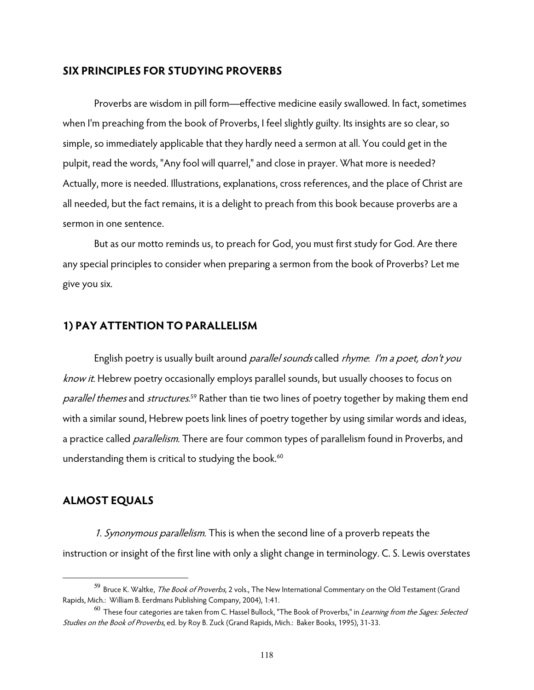#### **SIX PRINCIPLES FOR STUDYING PROVERBS**

 Proverbs are wisdom in pill form—effective medicine easily swallowed. In fact, sometimes when I'm preaching from the book of Proverbs, I feel slightly guilty. Its insights are so clear, so simple, so immediately applicable that they hardly need a sermon at all. You could get in the pulpit, read the words, "Any fool will quarrel," and close in prayer. What more is needed? Actually, more is needed. Illustrations, explanations, cross references, and the place of Christ are all needed, but the fact remains, it is a delight to preach from this book because proverbs are a sermon in one sentence.

But as our motto reminds us, to preach for God, you must first study for God. Are there any special principles to consider when preparing a sermon from the book of Proverbs? Let me give you six.

#### **1) PAY ATTENTION TO PARALLELISM**

English poetry is usually built around *parallel sounds* called *rhyme. I'm a poet, don't you* know it. Hebrew poetry occasionally employs parallel sounds, but usually chooses to focus on parallel themes and structures.<sup>59</sup> Rather than tie two lines of poetry together by making them end with a similar sound, Hebrew poets link lines of poetry together by using similar words and ideas, a practice called *parallelism*. There are four common types of parallelism found in Proverbs, and understanding them is critical to studying the book.<sup>60</sup>

## **ALMOST EQUALS**

 $\overline{a}$ 

1. Synonymous parallelism. This is when the second line of a proverb repeats the instruction or insight of the first line with only a slight change in terminology. C. S. Lewis overstates

<sup>59</sup> Bruce K. Waltke, The Book of Proverbs, 2 vols., The New International Commentary on the Old Testament (Grand Rapids, Mich.: William B. Eerdmans Publishing Company, 2004), 1:41.

 $^{60}$  These four categories are taken from C. Hassel Bullock, "The Book of Proverbs," in *Learning from the Sages: Selected* Studies on the Book of Proverbs, ed. by Roy B. Zuck (Grand Rapids, Mich.: Baker Books, 1995), 31-33.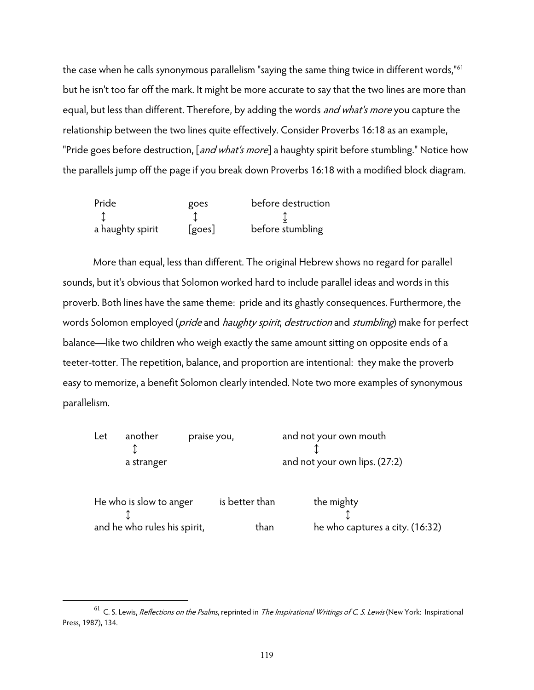the case when he calls synonymous parallelism "saying the same thing twice in different words,"<sup>61</sup> but he isn't too far off the mark. It might be more accurate to say that the two lines are more than equal, but less than different. Therefore, by adding the words *and what's more* you capture the relationship between the two lines quite effectively. Consider Proverbs 16:18 as an example, "Pride goes before destruction, [and what's more] a haughty spirit before stumbling." Notice how the parallels jump off the page if you break down Proverbs 16:18 with a modified block diagram.

| Pride            | goes   | before destruction |
|------------------|--------|--------------------|
|                  |        |                    |
| a haughty spirit | [goes] | before stumbling   |

 More than equal, less than different. The original Hebrew shows no regard for parallel sounds, but it's obvious that Solomon worked hard to include parallel ideas and words in this proverb. Both lines have the same theme: pride and its ghastly consequences. Furthermore, the words Solomon employed (*pride* and *haughty spirit, destruction* and *stumbling*) make for perfect balance—like two children who weigh exactly the same amount sitting on opposite ends of a teeter-totter. The repetition, balance, and proportion are intentional: they make the proverb easy to memorize, a benefit Solomon clearly intended. Note two more examples of synonymous parallelism.

| Let | another                      | praise you,    |      | and not your own mouth          |
|-----|------------------------------|----------------|------|---------------------------------|
|     | a stranger                   |                |      | and not your own lips. (27:2)   |
|     | He who is slow to anger      | is better than |      | the mighty                      |
|     | and he who rules his spirit, |                | than | he who captures a city. (16:32) |

 $61$  C. S. Lewis, *Reflections on the Psalms*, reprinted in *The Inspirational Writings of C. S. Lewis* (New York: Inspirational Press, 1987), 134.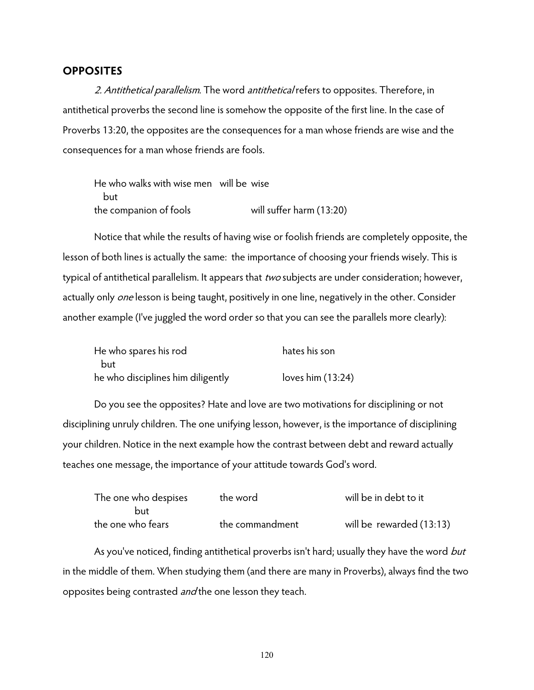#### **OPPOSITES**

2. Antithetical parallelism. The word antithetical refers to opposites. Therefore, in antithetical proverbs the second line is somehow the opposite of the first line. In the case of Proverbs 13:20, the opposites are the consequences for a man whose friends are wise and the consequences for a man whose friends are fools.

He who walks with wise men will be wise but the companion of fools will suffer harm (13:20)

 Notice that while the results of having wise or foolish friends are completely opposite, the lesson of both lines is actually the same: the importance of choosing your friends wisely. This is typical of antithetical parallelism. It appears that two subjects are under consideration; however, actually only *one* lesson is being taught, positively in one line, negatively in the other. Consider another example (I've juggled the word order so that you can see the parallels more clearly):

| He who spares his rod             | hates his son       |  |  |
|-----------------------------------|---------------------|--|--|
| but                               |                     |  |  |
| he who disciplines him diligently | loves him $(13:24)$ |  |  |

 Do you see the opposites? Hate and love are two motivations for disciplining or not disciplining unruly children. The one unifying lesson, however, is the importance of disciplining your children. Notice in the next example how the contrast between debt and reward actually teaches one message, the importance of your attitude towards God's word.

| The one who despises | the word        | will be in debt to it    |
|----------------------|-----------------|--------------------------|
| but                  |                 |                          |
| the one who fears    | the commandment | will be rewarded (13:13) |

As you've noticed, finding antithetical proverbs isn't hard; usually they have the word but in the middle of them. When studying them (and there are many in Proverbs), always find the two opposites being contrasted *and* the one lesson they teach.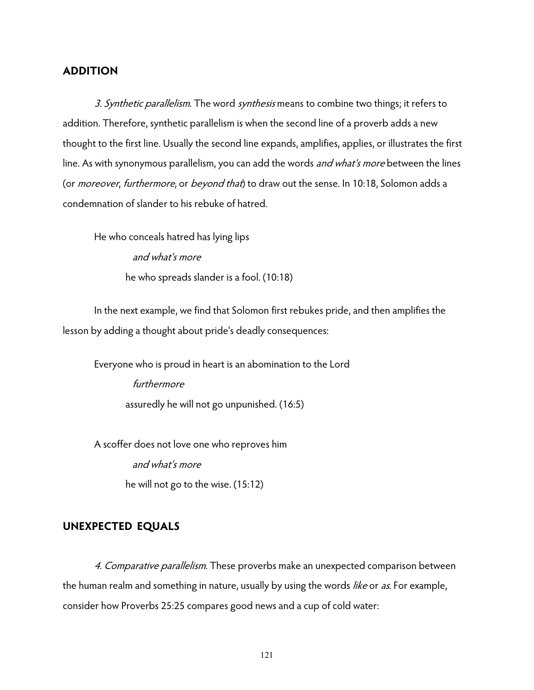## **ADDITION**

3. Synthetic parallelism. The word synthesis means to combine two things; it refers to addition. Therefore, synthetic parallelism is when the second line of a proverb adds a new thought to the first line. Usually the second line expands, amplifies, applies, or illustrates the first line. As with synonymous parallelism, you can add the words *and what's more* between the lines (or *moreover, furthermore*, or *beyond that*) to draw out the sense. In 10:18, Solomon adds a condemnation of slander to his rebuke of hatred.

He who conceals hatred has lying lips and what's more he who spreads slander is a fool. (10:18)

 In the next example, we find that Solomon first rebukes pride, and then amplifies the lesson by adding a thought about pride's deadly consequences:

Everyone who is proud in heart is an abomination to the Lord furthermore assuredly he will not go unpunished. (16:5)

A scoffer does not love one who reproves him and what's more he will not go to the wise. (15:12)

## **UNEXPECTED EQUALS**

4. Comparative parallelism. These proverbs make an unexpected comparison between the human realm and something in nature, usually by using the words like or as. For example, consider how Proverbs 25:25 compares good news and a cup of cold water: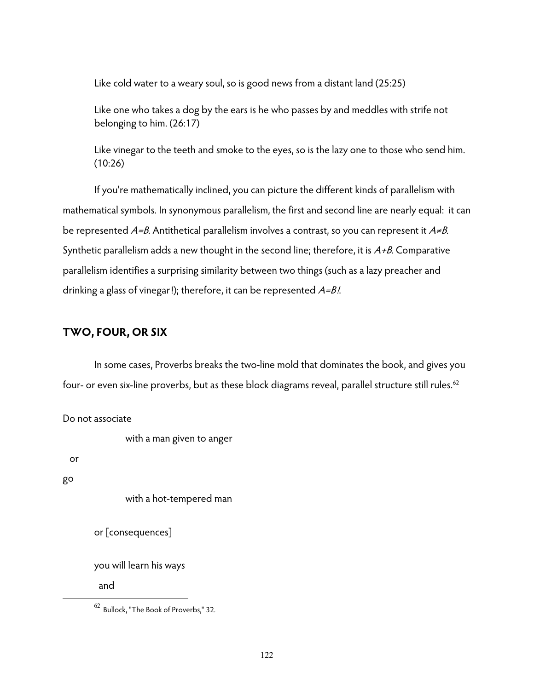Like cold water to a weary soul, so is good news from a distant land (25:25)

Like one who takes a dog by the ears is he who passes by and meddles with strife not belonging to him. (26:17)

Like vinegar to the teeth and smoke to the eyes, so is the lazy one to those who send him. (10:26)

 If you're mathematically inclined, you can picture the different kinds of parallelism with mathematical symbols. In synonymous parallelism, the first and second line are nearly equal: it can be represented  $A=B$ . Antithetical parallelism involves a contrast, so you can represent it  $A\neq B$ . Synthetic parallelism adds a new thought in the second line; therefore, it is  $A+B$ . Comparative parallelism identifies a surprising similarity between two things (such as a lazy preacher and drinking a glass of vinegar!); therefore, it can be represented  $A=B$ .

## **TWO, FOUR, OR SIX**

 In some cases, Proverbs breaks the two-line mold that dominates the book, and gives you four- or even six-line proverbs, but as these block diagrams reveal, parallel structure still rules.<sup>62</sup>

Do not associate

with a man given to anger

or

go

 $\overline{a}$ 

```
with a hot-tempered man
```

```
or [consequences]
```
you will learn his ways

and

<sup>62</sup> Bullock, "The Book of Proverbs," 32.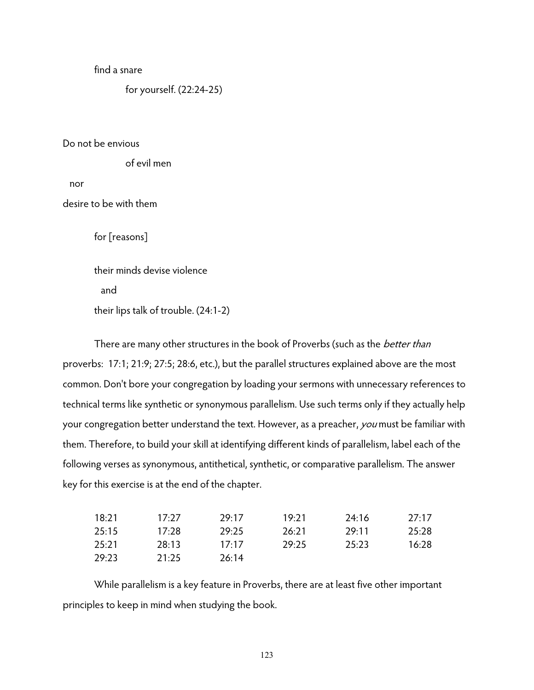find a snare

for yourself. (22:24-25)

Do not be envious

of evil men

nor

desire to be with them

for [reasons]

their minds devise violence and their lips talk of trouble. (24:1-2)

There are many other structures in the book of Proverbs (such as the *better than* proverbs: 17:1; 21:9; 27:5; 28:6, etc.), but the parallel structures explained above are the most common. Don't bore your congregation by loading your sermons with unnecessary references to technical terms like synthetic or synonymous parallelism. Use such terms only if they actually help your congregation better understand the text. However, as a preacher, you must be familiar with them. Therefore, to build your skill at identifying different kinds of parallelism, label each of the following verses as synonymous, antithetical, synthetic, or comparative parallelism. The answer key for this exercise is at the end of the chapter.

| 18:21 | 17.27 | 29:17 | 19.71 | 24:16 | 27:17 |
|-------|-------|-------|-------|-------|-------|
| 25:15 | 17.78 | 29:25 | 26:21 | 29.11 | 25:28 |
| 25:21 | 28:13 | 17.17 | 29:25 | 25:23 | 16:28 |
| 29:23 | 21:25 | 26:14 |       |       |       |

 While parallelism is a key feature in Proverbs, there are at least five other important principles to keep in mind when studying the book.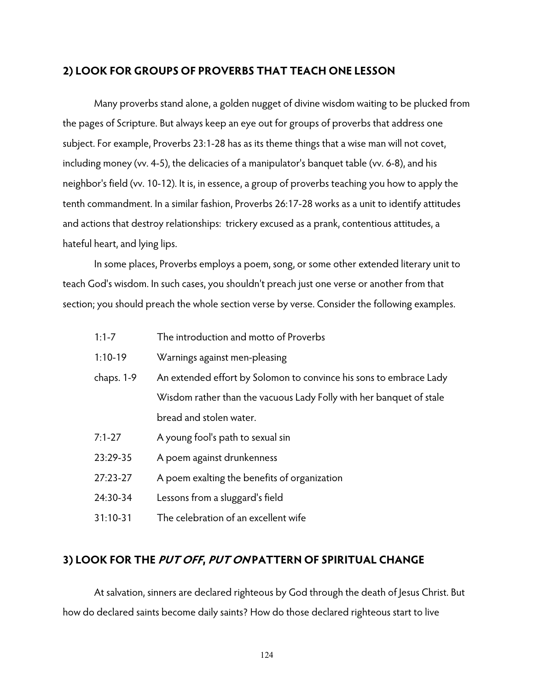## **2) LOOK FOR GROUPS OF PROVERBS THAT TEACH ONE LESSON**

 Many proverbs stand alone, a golden nugget of divine wisdom waiting to be plucked from the pages of Scripture. But always keep an eye out for groups of proverbs that address one subject. For example, Proverbs 23:1-28 has as its theme things that a wise man will not covet, including money (vv. 4-5), the delicacies of a manipulator's banquet table (vv. 6-8), and his neighbor's field (vv. 10-12). It is, in essence, a group of proverbs teaching you how to apply the tenth commandment. In a similar fashion, Proverbs 26:17-28 works as a unit to identify attitudes and actions that destroy relationships: trickery excused as a prank, contentious attitudes, a hateful heart, and lying lips.

 In some places, Proverbs employs a poem, song, or some other extended literary unit to teach God's wisdom. In such cases, you shouldn't preach just one verse or another from that section; you should preach the whole section verse by verse. Consider the following examples.

- 1:1-7 The introduction and motto of Proverbs
- 1:10-19 Warnings against men-pleasing
- chaps. 1-9 An extended effort by Solomon to convince his sons to embrace Lady Wisdom rather than the vacuous Lady Folly with her banquet of stale bread and stolen water.
- 7:1-27 A young fool's path to sexual sin
- 23:29-35 A poem against drunkenness
- 27:23-27 A poem exalting the benefits of organization
- 24:30-34 Lessons from a sluggard's field
- 31:10-31 The celebration of an excellent wife

## **3) LOOK FOR THE PUT OFF, PUT ON PATTERN OF SPIRITUAL CHANGE**

 At salvation, sinners are declared righteous by God through the death of Jesus Christ. But how do declared saints become daily saints? How do those declared righteous start to live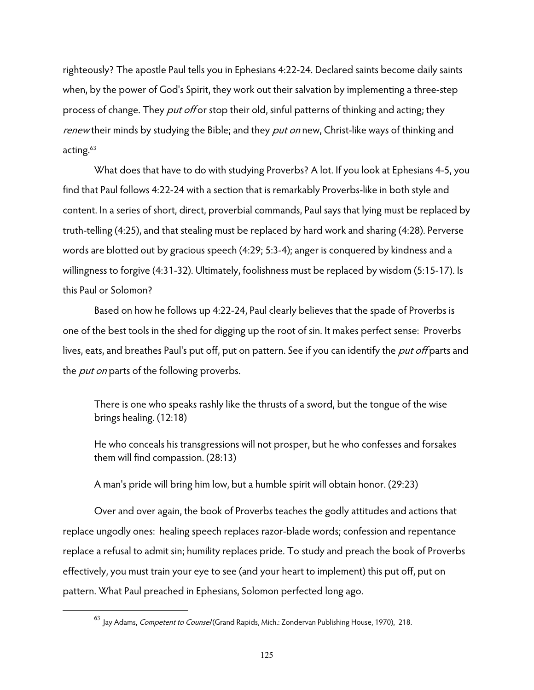righteously? The apostle Paul tells you in Ephesians 4:22-24. Declared saints become daily saints when, by the power of God's Spirit, they work out their salvation by implementing a three-step process of change. They *put off* or stop their old, sinful patterns of thinking and acting; they renew their minds by studying the Bible; and they put on new, Christ-like ways of thinking and acting.<sup>63</sup>

What does that have to do with studying Proverbs? A lot. If you look at Ephesians 4-5, you find that Paul follows 4:22-24 with a section that is remarkably Proverbs-like in both style and content. In a series of short, direct, proverbial commands, Paul says that lying must be replaced by truth-telling (4:25), and that stealing must be replaced by hard work and sharing (4:28). Perverse words are blotted out by gracious speech (4:29; 5:3-4); anger is conquered by kindness and a willingness to forgive (4:31-32). Ultimately, foolishness must be replaced by wisdom (5:15-17). Is this Paul or Solomon?

 Based on how he follows up 4:22-24, Paul clearly believes that the spade of Proverbs is one of the best tools in the shed for digging up the root of sin. It makes perfect sense: Proverbs lives, eats, and breathes Paul's put off, put on pattern. See if you can identify the *put off* parts and the *put on* parts of the following proverbs.

There is one who speaks rashly like the thrusts of a sword, but the tongue of the wise brings healing. (12:18)

He who conceals his transgressions will not prosper, but he who confesses and forsakes them will find compassion. (28:13)

A man's pride will bring him low, but a humble spirit will obtain honor. (29:23)

 Over and over again, the book of Proverbs teaches the godly attitudes and actions that replace ungodly ones: healing speech replaces razor-blade words; confession and repentance replace a refusal to admit sin; humility replaces pride. To study and preach the book of Proverbs effectively, you must train your eye to see (and your heart to implement) this put off, put on pattern. What Paul preached in Ephesians, Solomon perfected long ago.

<sup>&</sup>lt;sup>63</sup> Jay Adams, *Competent to Counsel* (Grand Rapids, Mich.: Zondervan Publishing House, 1970), 218.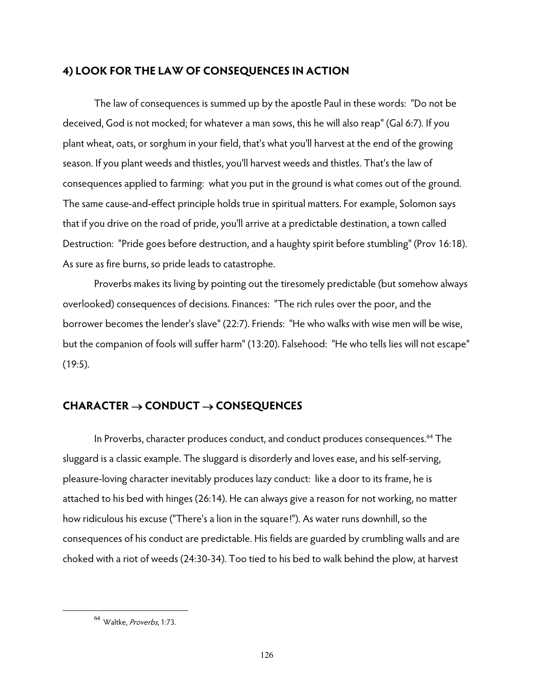## **4) LOOK FOR THE LAW OF CONSEQUENCES IN ACTION**

 The law of consequences is summed up by the apostle Paul in these words: "Do not be deceived, God is not mocked; for whatever a man sows, this he will also reap" (Gal 6:7). If you plant wheat, oats, or sorghum in your field, that's what you'll harvest at the end of the growing season. If you plant weeds and thistles, you'll harvest weeds and thistles. That's the law of consequences applied to farming: what you put in the ground is what comes out of the ground. The same cause-and-effect principle holds true in spiritual matters. For example, Solomon says that if you drive on the road of pride, you'll arrive at a predictable destination, a town called Destruction: "Pride goes before destruction, and a haughty spirit before stumbling" (Prov 16:18). As sure as fire burns, so pride leads to catastrophe.

 Proverbs makes its living by pointing out the tiresomely predictable (but somehow always overlooked) consequences of decisions. Finances: "The rich rules over the poor, and the borrower becomes the lender's slave" (22:7). Friends: "He who walks with wise men will be wise, but the companion of fools will suffer harm" (13:20). Falsehood: "He who tells lies will not escape"  $(19:5)$ .

## **CHARACTER CONDUCT CONSEQUENCES**

In Proverbs, character produces conduct, and conduct produces consequences.<sup>64</sup> The sluggard is a classic example. The sluggard is disorderly and loves ease, and his self-serving, pleasure-loving character inevitably produces lazy conduct: like a door to its frame, he is attached to his bed with hinges (26:14). He can always give a reason for not working, no matter how ridiculous his excuse ("There's a lion in the square!"). As water runs downhill, so the consequences of his conduct are predictable. His fields are guarded by crumbling walls and are choked with a riot of weeds (24:30-34). Too tied to his bed to walk behind the plow, at harvest

 $64$  Waltke. Proverbs, 1:73.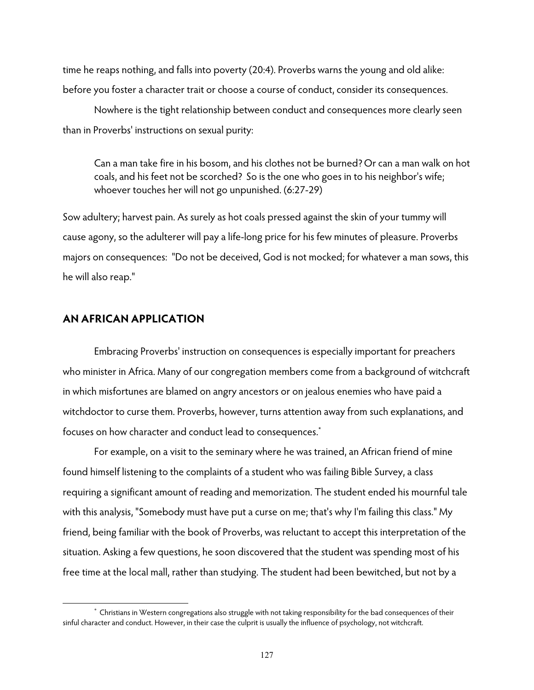time he reaps nothing, and falls into poverty (20:4). Proverbs warns the young and old alike: before you foster a character trait or choose a course of conduct, consider its consequences.

Nowhere is the tight relationship between conduct and consequences more clearly seen than in Proverbs' instructions on sexual purity:

Can a man take fire in his bosom, and his clothes not be burned?Or can a man walk on hot coals, and his feet not be scorched? So is the one who goes in to his neighbor's wife; whoever touches her will not go unpunished. (6:27-29)

Sow adultery; harvest pain. As surely as hot coals pressed against the skin of your tummy will cause agony, so the adulterer will pay a life-long price for his few minutes of pleasure. Proverbs majors on consequences: "Do not be deceived, God is not mocked; for whatever a man sows, this he will also reap."

## **AN AFRICAN APPLICATION**

 $\overline{a}$ 

Embracing Proverbs' instruction on consequences is especially important for preachers who minister in Africa. Many of our congregation members come from a background of witchcraft in which misfortunes are blamed on angry ancestors or on jealous enemies who have paid a witchdoctor to curse them. Proverbs, however, turns attention away from such explanations, and focuses on how character and conduct lead to consequences.\*

For example, on a visit to the seminary where he was trained, an African friend of mine found himself listening to the complaints of a student who was failing Bible Survey, a class requiring a significant amount of reading and memorization. The student ended his mournful tale with this analysis, "Somebody must have put a curse on me; that's why I'm failing this class." My friend, being familiar with the book of Proverbs, was reluctant to accept this interpretation of the situation. Asking a few questions, he soon discovered that the student was spending most of his free time at the local mall, rather than studying. The student had been bewitched, but not by a

<sup>\*</sup> Christians in Western congregations also struggle with not taking responsibility for the bad consequences of their sinful character and conduct. However, in their case the culprit is usually the influence of psychology, not witchcraft.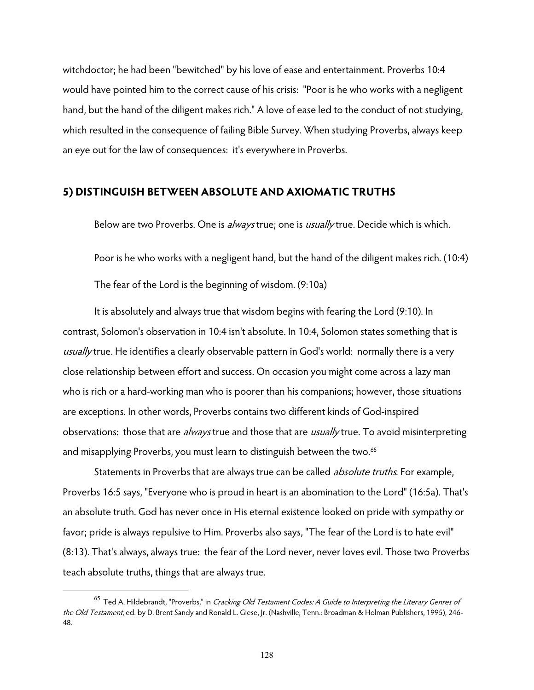witchdoctor; he had been "bewitched" by his love of ease and entertainment. Proverbs 10:4 would have pointed him to the correct cause of his crisis: "Poor is he who works with a negligent hand, but the hand of the diligent makes rich." A love of ease led to the conduct of not studying, which resulted in the consequence of failing Bible Survey. When studying Proverbs, always keep an eye out for the law of consequences: it's everywhere in Proverbs.

## **5) DISTINGUISH BETWEEN ABSOLUTE AND AXIOMATIC TRUTHS**

Below are two Proverbs. One is always true; one is usually true. Decide which is which.

Poor is he who works with a negligent hand, but the hand of the diligent makes rich. (10:4)

The fear of the Lord is the beginning of wisdom. (9:10a)

 It is absolutely and always true that wisdom begins with fearing the Lord (9:10). In contrast, Solomon's observation in 10:4 isn't absolute. In 10:4, Solomon states something that is usually true. He identifies a clearly observable pattern in God's world: normally there is a very close relationship between effort and success. On occasion you might come across a lazy man who is rich or a hard-working man who is poorer than his companions; however, those situations are exceptions. In other words, Proverbs contains two different kinds of God-inspired observations: those that are *always* true and those that are *usually* true. To avoid misinterpreting and misapplying Proverbs, you must learn to distinguish between the two.<sup>65</sup>

Statements in Proverbs that are always true can be called *absolute truths*. For example, Proverbs 16:5 says, "Everyone who is proud in heart is an abomination to the Lord" (16:5a). That's an absolute truth. God has never once in His eternal existence looked on pride with sympathy or favor; pride is always repulsive to Him. Proverbs also says, "The fear of the Lord is to hate evil" (8:13). That's always, always true: the fear of the Lord never, never loves evil. Those two Proverbs teach absolute truths, things that are always true.

 $^{65}$  Ted A. Hildebrandt, "Proverbs," in *Cracking Old Testament Codes: A Guide to Interpreting the Literary Genres of* the Old Testament, ed. by D. Brent Sandy and Ronald L. Giese, Jr. (Nashville, Tenn.: Broadman & Holman Publishers, 1995), 246-48.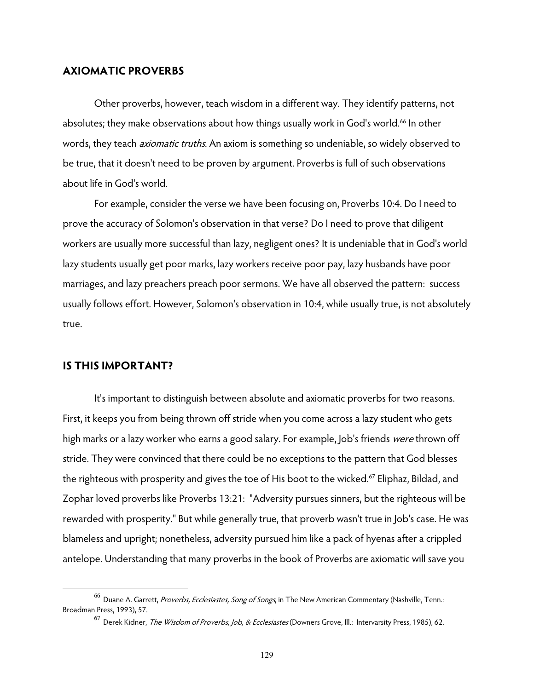#### **AXIOMATIC PROVERBS**

 Other proverbs, however, teach wisdom in a different way. They identify patterns, not absolutes; they make observations about how things usually work in God's world.<sup>66</sup> In other words, they teach *axiomatic truths*. An axiom is something so undeniable, so widely observed to be true, that it doesn't need to be proven by argument. Proverbs is full of such observations about life in God's world.

For example, consider the verse we have been focusing on, Proverbs 10:4. Do I need to prove the accuracy of Solomon's observation in that verse? Do I need to prove that diligent workers are usually more successful than lazy, negligent ones? It is undeniable that in God's world lazy students usually get poor marks, lazy workers receive poor pay, lazy husbands have poor marriages, and lazy preachers preach poor sermons. We have all observed the pattern: success usually follows effort. However, Solomon's observation in 10:4, while usually true, is not absolutely true.

#### **IS THIS IMPORTANT?**

 $\overline{a}$ 

It's important to distinguish between absolute and axiomatic proverbs for two reasons. First, it keeps you from being thrown off stride when you come across a lazy student who gets high marks or a lazy worker who earns a good salary. For example, Job's friends *were* thrown off stride. They were convinced that there could be no exceptions to the pattern that God blesses the righteous with prosperity and gives the toe of His boot to the wicked.<sup>67</sup> Eliphaz, Bildad, and Zophar loved proverbs like Proverbs 13:21: "Adversity pursues sinners, but the righteous will be rewarded with prosperity." But while generally true, that proverb wasn't true in Job's case. He was blameless and upright; nonetheless, adversity pursued him like a pack of hyenas after a crippled antelope. Understanding that many proverbs in the book of Proverbs are axiomatic will save you

<sup>&</sup>lt;sup>66</sup> Duane A. Garrett, Proverbs, Ecclesiastes, Song of Songs, in The New American Commentary (Nashville, Tenn.: Broadman Press, 1993), 57.

<sup>&</sup>lt;sup>67</sup> Derek Kidner, *The Wisdom of Proverbs, Job, & Ecclesiastes* (Downers Grove, Ill.: Intervarsity Press, 1985), 62.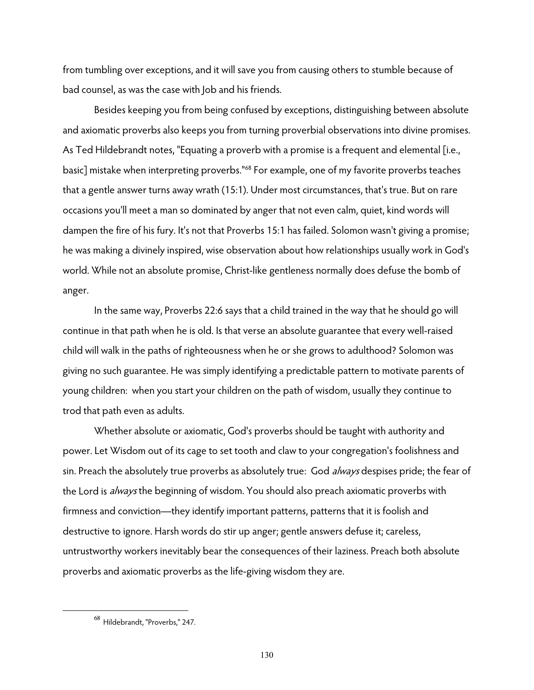from tumbling over exceptions, and it will save you from causing others to stumble because of bad counsel, as was the case with Job and his friends.

Besides keeping you from being confused by exceptions, distinguishing between absolute and axiomatic proverbs also keeps you from turning proverbial observations into divine promises. As Ted Hildebrandt notes, "Equating a proverb with a promise is a frequent and elemental [i.e., basic] mistake when interpreting proverbs."68 For example, one of my favorite proverbs teaches that a gentle answer turns away wrath (15:1). Under most circumstances, that's true. But on rare occasions you'll meet a man so dominated by anger that not even calm, quiet, kind words will dampen the fire of his fury. It's not that Proverbs 15:1 has failed. Solomon wasn't giving a promise; he was making a divinely inspired, wise observation about how relationships usually work in God's world. While not an absolute promise, Christ-like gentleness normally does defuse the bomb of anger.

In the same way, Proverbs 22:6 says that a child trained in the way that he should go will continue in that path when he is old. Is that verse an absolute guarantee that every well-raised child will walk in the paths of righteousness when he or she grows to adulthood? Solomon was giving no such guarantee. He was simply identifying a predictable pattern to motivate parents of young children: when you start your children on the path of wisdom, usually they continue to trod that path even as adults.

Whether absolute or axiomatic, God's proverbs should be taught with authority and power. Let Wisdom out of its cage to set tooth and claw to your congregation's foolishness and sin. Preach the absolutely true proverbs as absolutely true: God always despises pride; the fear of the Lord is *always* the beginning of wisdom. You should also preach axiomatic proverbs with firmness and conviction—they identify important patterns, patterns that it is foolish and destructive to ignore. Harsh words do stir up anger; gentle answers defuse it; careless, untrustworthy workers inevitably bear the consequences of their laziness. Preach both absolute proverbs and axiomatic proverbs as the life-giving wisdom they are.

<sup>68</sup> Hildebrandt, "Proverbs," 247.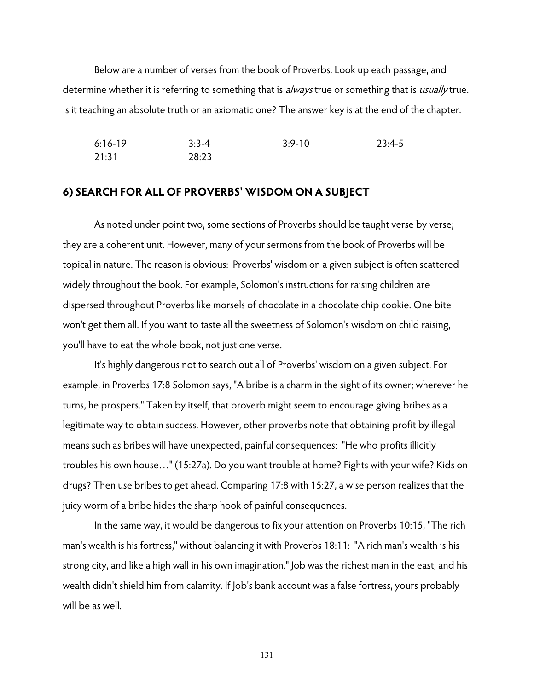Below are a number of verses from the book of Proverbs. Look up each passage, and determine whether it is referring to something that is always true or something that is usually true. Is it teaching an absolute truth or an axiomatic one? The answer key is at the end of the chapter.

```
6:16-19 3:3-4 3:9-10 23:4-5 
21:31 28:23
```
#### **6) SEARCH FOR ALL OF PROVERBS' WISDOM ON A SUBJECT**

As noted under point two, some sections of Proverbs should be taught verse by verse; they are a coherent unit. However, many of your sermons from the book of Proverbs will be topical in nature. The reason is obvious: Proverbs' wisdom on a given subject is often scattered widely throughout the book. For example, Solomon's instructions for raising children are dispersed throughout Proverbs like morsels of chocolate in a chocolate chip cookie. One bite won't get them all. If you want to taste all the sweetness of Solomon's wisdom on child raising, you'll have to eat the whole book, not just one verse.

It's highly dangerous not to search out all of Proverbs' wisdom on a given subject. For example, in Proverbs 17:8 Solomon says, "A bribe is a charm in the sight of its owner; wherever he turns, he prospers." Taken by itself, that proverb might seem to encourage giving bribes as a legitimate way to obtain success. However, other proverbs note that obtaining profit by illegal means such as bribes will have unexpected, painful consequences: "He who profits illicitly troubles his own house…" (15:27a). Do you want trouble at home? Fights with your wife? Kids on drugs? Then use bribes to get ahead. Comparing 17:8 with 15:27, a wise person realizes that the juicy worm of a bribe hides the sharp hook of painful consequences.

 In the same way, it would be dangerous to fix your attention on Proverbs 10:15, "The rich man's wealth is his fortress," without balancing it with Proverbs 18:11: "A rich man's wealth is his strong city, and like a high wall in his own imagination." Job was the richest man in the east, and his wealth didn't shield him from calamity. If Job's bank account was a false fortress, yours probably will be as well.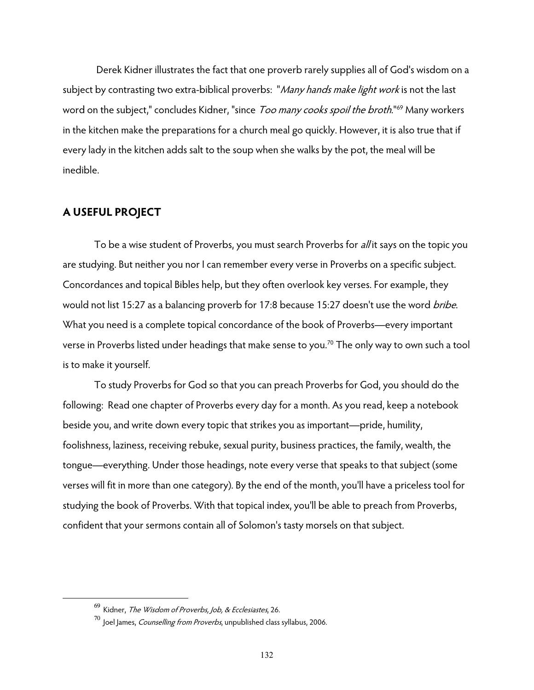Derek Kidner illustrates the fact that one proverb rarely supplies all of God's wisdom on a subject by contrasting two extra-biblical proverbs: "Many hands make light work is not the last word on the subject," concludes Kidner, "since Too many cooks spoil the broth."<sup>69</sup> Many workers in the kitchen make the preparations for a church meal go quickly. However, it is also true that if every lady in the kitchen adds salt to the soup when she walks by the pot, the meal will be inedible.

## **A USEFUL PROJECT**

 $\overline{a}$ 

To be a wise student of Proverbs, you must search Proverbs for *all* it says on the topic you are studying. But neither you nor I can remember every verse in Proverbs on a specific subject. Concordances and topical Bibles help, but they often overlook key verses. For example, they would not list 15:27 as a balancing proverb for 17:8 because 15:27 doesn't use the word bribe. What you need is a complete topical concordance of the book of Proverbs—every important verse in Proverbs listed under headings that make sense to you.<sup>70</sup> The only way to own such a tool is to make it yourself.

To study Proverbs for God so that you can preach Proverbs for God, you should do the following: Read one chapter of Proverbs every day for a month. As you read, keep a notebook beside you, and write down every topic that strikes you as important—pride, humility, foolishness, laziness, receiving rebuke, sexual purity, business practices, the family, wealth, the tongue—everything. Under those headings, note every verse that speaks to that subject (some verses will fit in more than one category). By the end of the month, you'll have a priceless tool for studying the book of Proverbs. With that topical index, you'll be able to preach from Proverbs, confident that your sermons contain all of Solomon's tasty morsels on that subject.

 $69$  Kidner, The Wisdom of Proverbs, Job, & Ecclesiastes, 26.

 $^{70}$  Joel James, *Counselling from Proverbs*, unpublished class syllabus, 2006.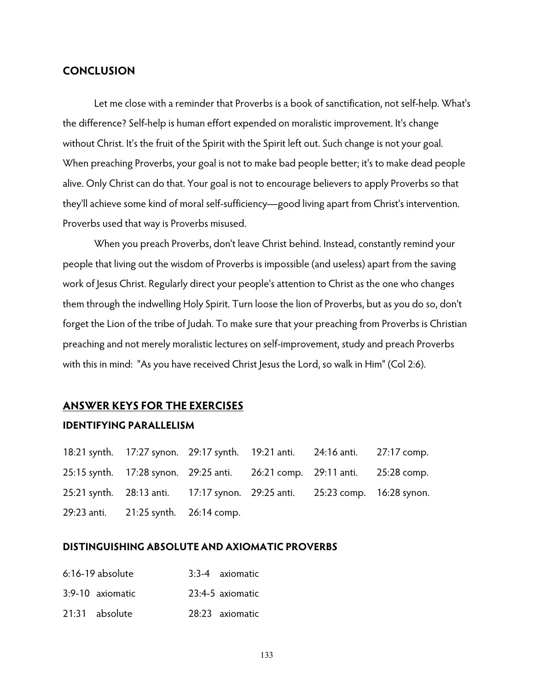## **CONCLUSION**

 Let me close with a reminder that Proverbs is a book of sanctification, not self-help. What's the difference? Self-help is human effort expended on moralistic improvement. It's change without Christ. It's the fruit of the Spirit with the Spirit left out. Such change is not your goal. When preaching Proverbs, your goal is not to make bad people better; it's to make dead people alive. Only Christ can do that. Your goal is not to encourage believers to apply Proverbs so that they'll achieve some kind of moral self-sufficiency—good living apart from Christ's intervention. Proverbs used that way is Proverbs misused.

When you preach Proverbs, don't leave Christ behind. Instead, constantly remind your people that living out the wisdom of Proverbs is impossible (and useless) apart from the saving work of Jesus Christ. Regularly direct your people's attention to Christ as the one who changes them through the indwelling Holy Spirit. Turn loose the lion of Proverbs, but as you do so, don't forget the Lion of the tribe of Judah. To make sure that your preaching from Proverbs is Christian preaching and not merely moralistic lectures on self-improvement, study and preach Proverbs with this in mind: "As you have received Christ Jesus the Lord, so walk in Him" (Col 2:6).

## **ANSWER KEYS FOR THE EXERCISES**

#### **IDENTIFYING PARALLELISM**

18:21 synth. 17:27 synon. 29:17 synth. 19:21 anti. 24:16 anti. 27:17 comp. 25:15 synth. 17:28 synon. 29:25 anti. 26:21 comp. 29:11 anti. 25:28 comp. 25:21 synth. 28:13 anti. 17:17 synon. 29:25 anti. 25:23 comp. 16:28 synon. 29:23 anti. 21:25 synth. 26:14 comp.

#### **DISTINGUISHING ABSOLUTE AND AXIOMATIC PROVERBS**

| 6:16-19 absolute | 3:3-4 axiomatic  |
|------------------|------------------|
| 3:9-10 axiomatic | 23:4-5 axiomatic |
| 21:31 absolute   | 28:23 axiomatic  |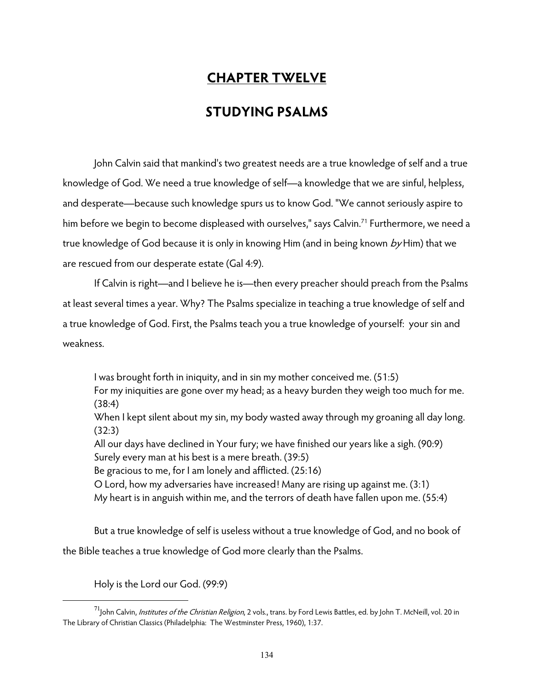# **CHAPTER TWELVE**

# **STUDYING PSALMS**

 John Calvin said that mankind's two greatest needs are a true knowledge of self and a true knowledge of God. We need a true knowledge of self—a knowledge that we are sinful, helpless, and desperate—because such knowledge spurs us to know God. "We cannot seriously aspire to him before we begin to become displeased with ourselves," says Calvin.<sup>71</sup> Furthermore, we need a true knowledge of God because it is only in knowing Him (and in being known by Him) that we are rescued from our desperate estate (Gal 4:9).

 If Calvin is right—and I believe he is—then every preacher should preach from the Psalms at least several times a year. Why? The Psalms specialize in teaching a true knowledge of self and a true knowledge of God. First, the Psalms teach you a true knowledge of yourself: your sin and weakness.

I was brought forth in iniquity, and in sin my mother conceived me. (51:5) For my iniquities are gone over my head; as a heavy burden they weigh too much for me. (38:4) When I kept silent about my sin, my body wasted away through my groaning all day long. (32:3) All our days have declined in Your fury; we have finished our years like a sigh. (90:9) Surely every man at his best is a mere breath. (39:5) Be gracious to me, for I am lonely and afflicted. (25:16) O Lord, how my adversaries have increased! Many are rising up against me. (3:1) My heart is in anguish within me, and the terrors of death have fallen upon me. (55:4)

 But a true knowledge of self is useless without a true knowledge of God, and no book of the Bible teaches a true knowledge of God more clearly than the Psalms.

Holy is the Lord our God. (99:9)

 $^{71}$ John Calvin, *Institutes of the Christian Religion*, 2 vols., trans. by Ford Lewis Battles, ed. by John T. McNeill, vol. 20 in The Library of Christian Classics (Philadelphia: The Westminster Press, 1960), 1:37.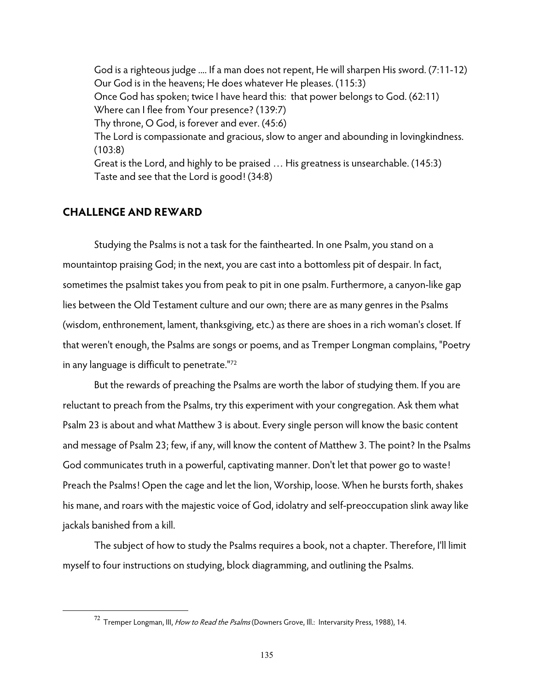God is a righteous judge .... If a man does not repent, He will sharpen His sword. (7:11-12) Our God is in the heavens; He does whatever He pleases. (115:3) Once God has spoken; twice I have heard this: that power belongs to God. (62:11) Where can I flee from Your presence? (139:7) Thy throne, O God, is forever and ever. (45:6) The Lord is compassionate and gracious, slow to anger and abounding in lovingkindness. (103:8) Great is the Lord, and highly to be praised … His greatness is unsearchable. (145:3) Taste and see that the Lord is good! (34:8)

## **CHALLENGE AND REWARD**

 $\overline{a}$ 

 Studying the Psalms is not a task for the fainthearted. In one Psalm, you stand on a mountaintop praising God; in the next, you are cast into a bottomless pit of despair. In fact, sometimes the psalmist takes you from peak to pit in one psalm. Furthermore, a canyon-like gap lies between the Old Testament culture and our own; there are as many genres in the Psalms (wisdom, enthronement, lament, thanksgiving, etc.) as there are shoes in a rich woman's closet. If that weren't enough, the Psalms are songs or poems, and as Tremper Longman complains, "Poetry in any language is difficult to penetrate."72

 But the rewards of preaching the Psalms are worth the labor of studying them. If you are reluctant to preach from the Psalms, try this experiment with your congregation. Ask them what Psalm 23 is about and what Matthew 3 is about. Every single person will know the basic content and message of Psalm 23; few, if any, will know the content of Matthew 3. The point? In the Psalms God communicates truth in a powerful, captivating manner. Don't let that power go to waste! Preach the Psalms! Open the cage and let the lion, Worship, loose. When he bursts forth, shakes his mane, and roars with the majestic voice of God, idolatry and self-preoccupation slink away like jackals banished from a kill.

 The subject of how to study the Psalms requires a book, not a chapter. Therefore, I'll limit myself to four instructions on studying, block diagramming, and outlining the Psalms.

 $72$  Tremper Longman, III, How to Read the Psalms (Downers Grove, III.: Intervarsity Press, 1988), 14.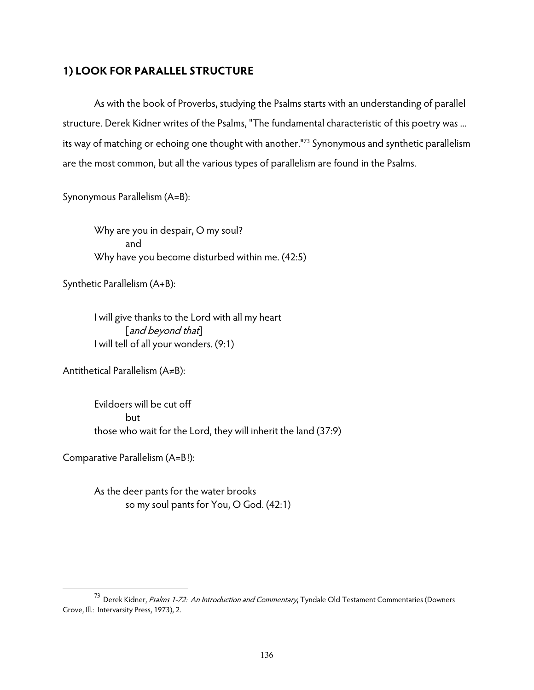## **1) LOOK FOR PARALLEL STRUCTURE**

 As with the book of Proverbs, studying the Psalms starts with an understanding of parallel structure. Derek Kidner writes of the Psalms, "The fundamental characteristic of this poetry was ... its way of matching or echoing one thought with another."73 Synonymous and synthetic parallelism are the most common, but all the various types of parallelism are found in the Psalms.

Synonymous Parallelism (A=B):

Why are you in despair, O my soul? and Why have you become disturbed within me. (42:5)

Synthetic Parallelism (A+B):

I will give thanks to the Lord with all my heart [and beyond that] I will tell of all your wonders. (9:1)

Antithetical Parallelism (A≠B):

Evildoers will be cut off but those who wait for the Lord, they will inherit the land (37:9)

Comparative Parallelism (A=B!):

 $\overline{a}$ 

As the deer pants for the water brooks so my soul pants for You, O God. (42:1)

 $^{73}$  Derek Kidner, Psalms 1-72: An Introduction and Commentary, Tyndale Old Testament Commentaries (Downers Grove, Ill.: Intervarsity Press, 1973), 2.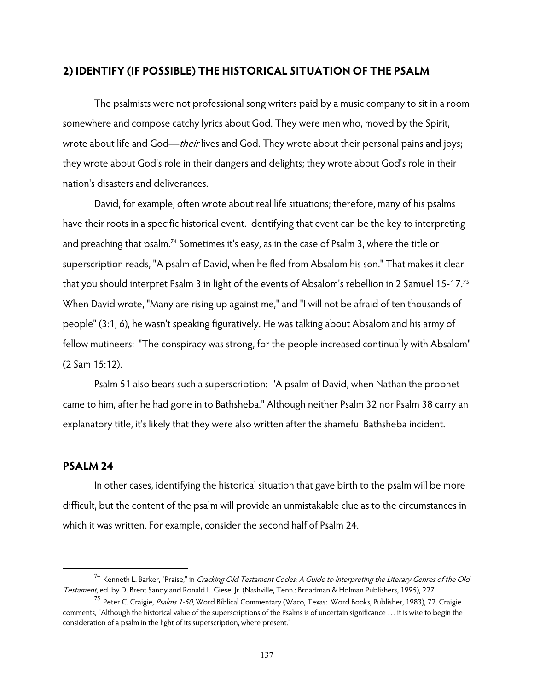## **2) IDENTIFY (IF POSSIBLE) THE HISTORICAL SITUATION OF THE PSALM**

 The psalmists were not professional song writers paid by a music company to sit in a room somewhere and compose catchy lyrics about God. They were men who, moved by the Spirit, wrote about life and God—their lives and God. They wrote about their personal pains and joys; they wrote about God's role in their dangers and delights; they wrote about God's role in their nation's disasters and deliverances.

David, for example, often wrote about real life situations; therefore, many of his psalms have their roots in a specific historical event. Identifying that event can be the key to interpreting and preaching that psalm.<sup>74</sup> Sometimes it's easy, as in the case of Psalm 3, where the title or superscription reads, "A psalm of David, when he fled from Absalom his son." That makes it clear that you should interpret Psalm 3 in light of the events of Absalom's rebellion in 2 Samuel 15-17.75 When David wrote, "Many are rising up against me," and "I will not be afraid of ten thousands of people" (3:1, 6), he wasn't speaking figuratively. He was talking about Absalom and his army of fellow mutineers: "The conspiracy was strong, for the people increased continually with Absalom" (2 Sam 15:12).

Psalm 51 also bears such a superscription: "A psalm of David, when Nathan the prophet came to him, after he had gone in to Bathsheba." Although neither Psalm 32 nor Psalm 38 carry an explanatory title, it's likely that they were also written after the shameful Bathsheba incident.

## **PSALM 24**

 $\overline{a}$ 

In other cases, identifying the historical situation that gave birth to the psalm will be more difficult, but the content of the psalm will provide an unmistakable clue as to the circumstances in which it was written. For example, consider the second half of Psalm 24.

<sup>&</sup>lt;sup>74</sup> Kenneth L. Barker, "Praise," in *Cracking Old Testament Codes: A Guide to Interpreting the Literary Genres of the Old* Testament, ed. by D. Brent Sandy and Ronald L. Giese, Jr. (Nashville, Tenn.: Broadman & Holman Publishers, 1995), 227.

<sup>&</sup>lt;sup>75</sup> Peter C. Craigie, *Psalms 1-50*, Word Biblical Commentary (Waco, Texas: Word Books, Publisher, 1983), 72. Craigie comments, "Although the historical value of the superscriptions of the Psalms is of uncertain significance … it is wise to begin the consideration of a psalm in the light of its superscription, where present."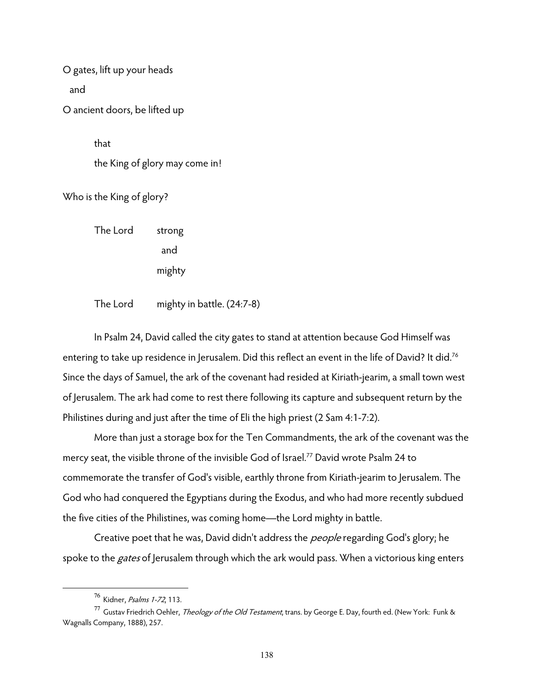O gates, lift up your heads

and

O ancient doors, be lifted up

that

the King of glory may come in!

Who is the King of glory?

The Lord strong and mighty

The Lord mighty in battle. (24:7-8)

In Psalm 24, David called the city gates to stand at attention because God Himself was entering to take up residence in Jerusalem. Did this reflect an event in the life of David? It did.<sup>76</sup> Since the days of Samuel, the ark of the covenant had resided at Kiriath-jearim, a small town west of Jerusalem. The ark had come to rest there following its capture and subsequent return by the Philistines during and just after the time of Eli the high priest (2 Sam 4:1-7:2).

More than just a storage box for the Ten Commandments, the ark of the covenant was the mercy seat, the visible throne of the invisible God of Israel.<sup>77</sup> David wrote Psalm 24 to commemorate the transfer of God's visible, earthly throne from Kiriath-jearim to Jerusalem. The God who had conquered the Egyptians during the Exodus, and who had more recently subdued the five cities of the Philistines, was coming home—the Lord mighty in battle.

Creative poet that he was, David didn't address the *people* regarding God's glory; he spoke to the *gates* of Jerusalem through which the ark would pass. When a victorious king enters

<sup>76</sup> Kidner, Psalms 1-72, 113.

<sup>&</sup>lt;sup>77</sup> Gustav Friedrich Oehler, *Theology of the Old Testament*, trans. by George E. Day, fourth ed. (New York: Funk & Wagnalls Company, 1888), 257.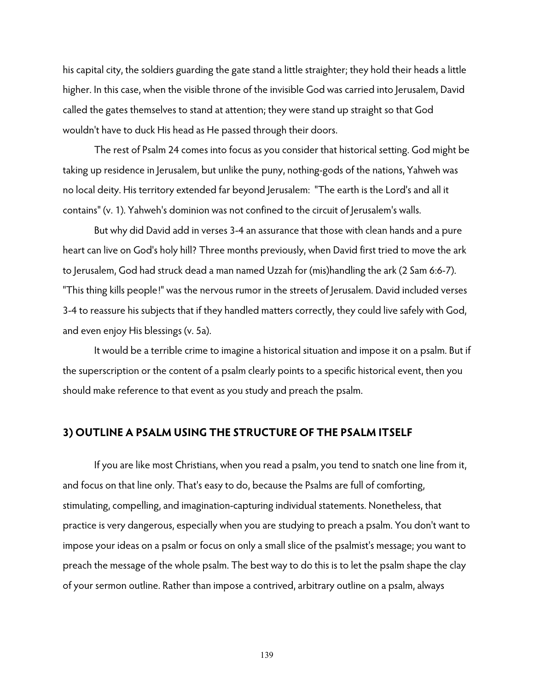his capital city, the soldiers guarding the gate stand a little straighter; they hold their heads a little higher. In this case, when the visible throne of the invisible God was carried into Jerusalem, David called the gates themselves to stand at attention; they were stand up straight so that God wouldn't have to duck His head as He passed through their doors.

The rest of Psalm 24 comes into focus as you consider that historical setting. God might be taking up residence in Jerusalem, but unlike the puny, nothing-gods of the nations, Yahweh was no local deity. His territory extended far beyond Jerusalem: "The earth is the Lord's and all it contains" (v. 1). Yahweh's dominion was not confined to the circuit of Jerusalem's walls.

 But why did David add in verses 3-4 an assurance that those with clean hands and a pure heart can live on God's holy hill? Three months previously, when David first tried to move the ark to Jerusalem, God had struck dead a man named Uzzah for (mis)handling the ark (2 Sam 6:6-7). "This thing kills people!" was the nervous rumor in the streets of Jerusalem. David included verses 3-4 to reassure his subjects that if they handled matters correctly, they could live safely with God, and even enjoy His blessings (v. 5a).

It would be a terrible crime to imagine a historical situation and impose it on a psalm. But if the superscription or the content of a psalm clearly points to a specific historical event, then you should make reference to that event as you study and preach the psalm.

## **3) OUTLINE A PSALM USING THE STRUCTURE OF THE PSALM ITSELF**

If you are like most Christians, when you read a psalm, you tend to snatch one line from it, and focus on that line only. That's easy to do, because the Psalms are full of comforting, stimulating, compelling, and imagination-capturing individual statements. Nonetheless, that practice is very dangerous, especially when you are studying to preach a psalm. You don't want to impose your ideas on a psalm or focus on only a small slice of the psalmist's message; you want to preach the message of the whole psalm. The best way to do this is to let the psalm shape the clay of your sermon outline. Rather than impose a contrived, arbitrary outline on a psalm, always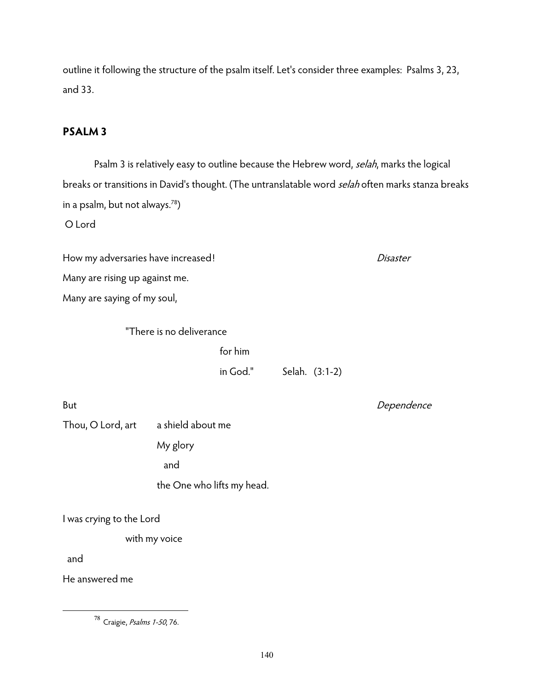outline it following the structure of the psalm itself. Let's consider three examples: Psalms 3, 23, and 33.

## **PSALM 3**

Psalm 3 is relatively easy to outline because the Hebrew word, selah, marks the logical breaks or transitions in David's thought. (The untranslatable word selah often marks stanza breaks in a psalm, but not always.78)

O Lord

How my adversaries have increased! discussed and the set of the Disaster Many are rising up against me.

Many are saying of my soul,

"There is no deliverance

for him

in God." Selah. (3:1-2)

But **Dependence** 

Thou, O Lord, art a shield about me My glory

and

the One who lifts my head.

I was crying to the Lord

with my voice

and

 $\overline{a}$ 

He answered me

<sup>78</sup> Craigie, Psalms 1-50, 76.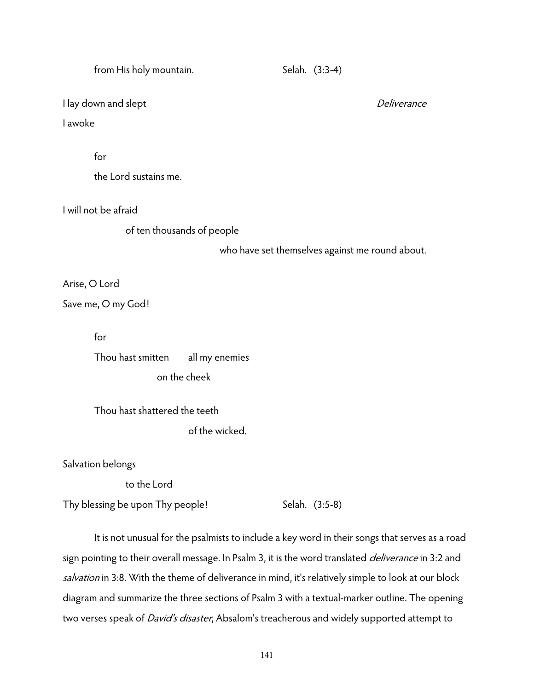| from His holy mountain.         |                | Selah. (3:3-4)                                  |             |
|---------------------------------|----------------|-------------------------------------------------|-------------|
| I lay down and slept<br>I awoke |                |                                                 | Deliverance |
|                                 |                |                                                 |             |
| for                             |                |                                                 |             |
| the Lord sustains me.           |                |                                                 |             |
| I will not be afraid            |                |                                                 |             |
| of ten thousands of people      |                |                                                 |             |
|                                 |                | who have set themselves against me round about. |             |
| Arise, O Lord                   |                |                                                 |             |
| Save me, O my God!              |                |                                                 |             |
| for                             |                |                                                 |             |
| Thou hast smitten               | all my enemies |                                                 |             |
| on the cheek                    |                |                                                 |             |

Thou hast shattered the teeth

of the wicked.

Salvation belongs

to the Lord

Thy blessing be upon Thy people!  $Selah.$  (3:5-8)

 It is not unusual for the psalmists to include a key word in their songs that serves as a road sign pointing to their overall message. In Psalm 3, it is the word translated *deliverance* in 3:2 and salvation in 3:8. With the theme of deliverance in mind, it's relatively simple to look at our block diagram and summarize the three sections of Psalm 3 with a textual-marker outline. The opening two verses speak of *David's disaster*, Absalom's treacherous and widely supported attempt to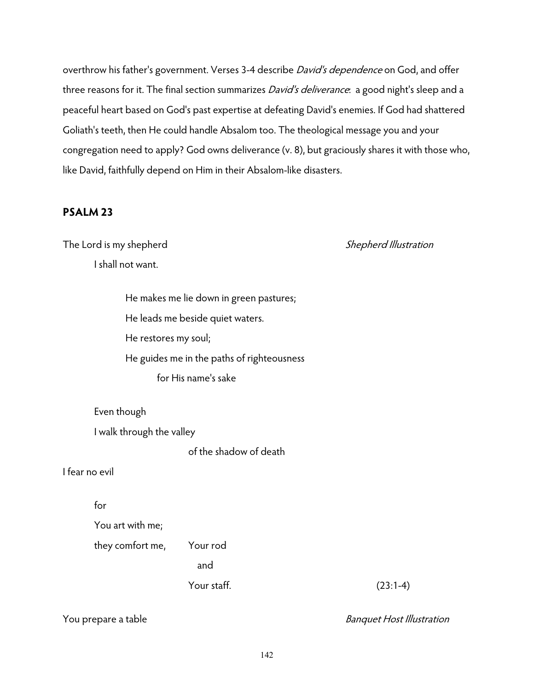overthrow his father's government. Verses 3-4 describe *David's dependence* on God, and offer three reasons for it. The final section summarizes *David's deliverance*: a good night's sleep and a peaceful heart based on God's past expertise at defeating David's enemies. If God had shattered Goliath's teeth, then He could handle Absalom too. The theological message you and your congregation need to apply? God owns deliverance (v. 8), but graciously shares it with those who, like David, faithfully depend on Him in their Absalom-like disasters.

## **PSALM 23**

The Lord is my shepherd The Lord is my shepherd Illustration

I shall not want.

He makes me lie down in green pastures; He leads me beside quiet waters. He restores my soul; He guides me in the paths of righteousness for His name's sake

Even though

I walk through the valley

of the shadow of death

I fear no evil

for

You art with me;

they comfort me, Your rod

and the contract of the contract of the contract of the contract of the contract of the contract of the contra

Your staff. (23:1-4)

You prepare a table and the Banquet Host Illustration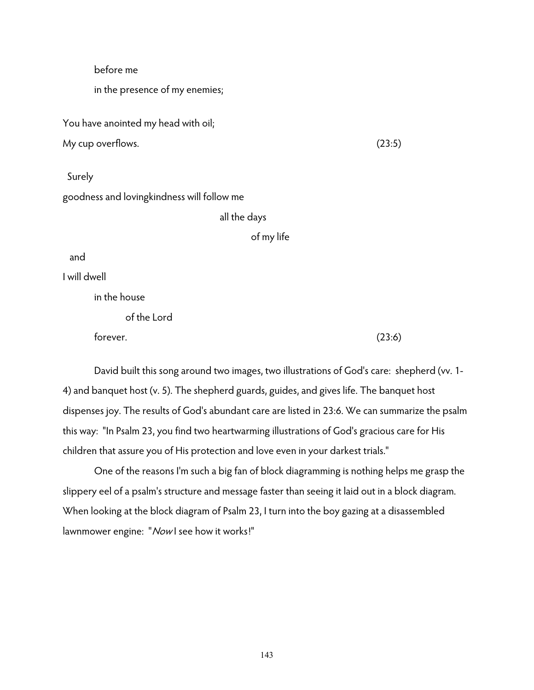### before me

in the presence of my enemies;

You have anointed my head with oil;

My cup overflows. (23:5)

 Surely goodness and lovingkindness will follow me

#### all the days

of my life

and

I will dwell

in the house

of the Lord

 $f$ orever.  $(23:6)$ 

David built this song around two images, two illustrations of God's care: shepherd (vv. 1- 4) and banquet host (v. 5). The shepherd guards, guides, and gives life. The banquet host dispenses joy. The results of God's abundant care are listed in 23:6. We can summarize the psalm this way: "In Psalm 23, you find two heartwarming illustrations of God's gracious care for His children that assure you of His protection and love even in your darkest trials."

One of the reasons I'm such a big fan of block diagramming is nothing helps me grasp the slippery eel of a psalm's structure and message faster than seeing it laid out in a block diagram. When looking at the block diagram of Psalm 23, I turn into the boy gazing at a disassembled lawnmower engine: "Nowl see how it works!"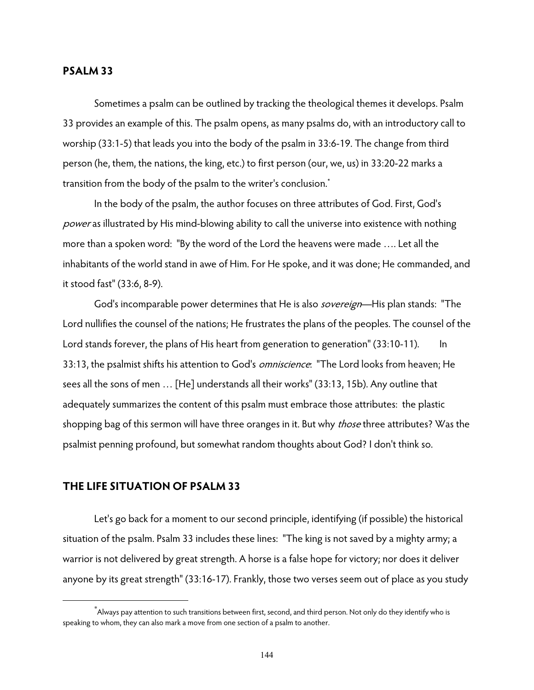#### **PSALM 33**

 Sometimes a psalm can be outlined by tracking the theological themes it develops. Psalm 33 provides an example of this. The psalm opens, as many psalms do, with an introductory call to worship (33:1-5) that leads you into the body of the psalm in 33:6-19. The change from third person (he, them, the nations, the king, etc.) to first person (our, we, us) in 33:20-22 marks a transition from the body of the psalm to the writer's conclusion.\*

 In the body of the psalm, the author focuses on three attributes of God. First, God's power as illustrated by His mind-blowing ability to call the universe into existence with nothing more than a spoken word: "By the word of the Lord the heavens were made …. Let all the inhabitants of the world stand in awe of Him. For He spoke, and it was done; He commanded, and it stood fast" (33:6, 8-9).

God's incomparable power determines that He is also *sovereign*—His plan stands: "The Lord nullifies the counsel of the nations; He frustrates the plans of the peoples. The counsel of the Lord stands forever, the plans of His heart from generation to generation" (33:10-11). In 33:13, the psalmist shifts his attention to God's *omniscience*: "The Lord looks from heaven; He sees all the sons of men … [He] understands all their works" (33:13, 15b). Any outline that adequately summarizes the content of this psalm must embrace those attributes: the plastic shopping bag of this sermon will have three oranges in it. But why *those* three attributes? Was the psalmist penning profound, but somewhat random thoughts about God? I don't think so.

#### **THE LIFE SITUATION OF PSALM 33**

 $\overline{a}$ 

 Let's go back for a moment to our second principle, identifying (if possible) the historical situation of the psalm. Psalm 33 includes these lines: "The king is not saved by a mighty army; a warrior is not delivered by great strength. A horse is a false hope for victory; nor does it deliver anyone by its great strength" (33:16-17). Frankly, those two verses seem out of place as you study

<sup>\*</sup> Always pay attention to such transitions between first, second, and third person. Not only do they identify who is speaking to whom, they can also mark a move from one section of a psalm to another.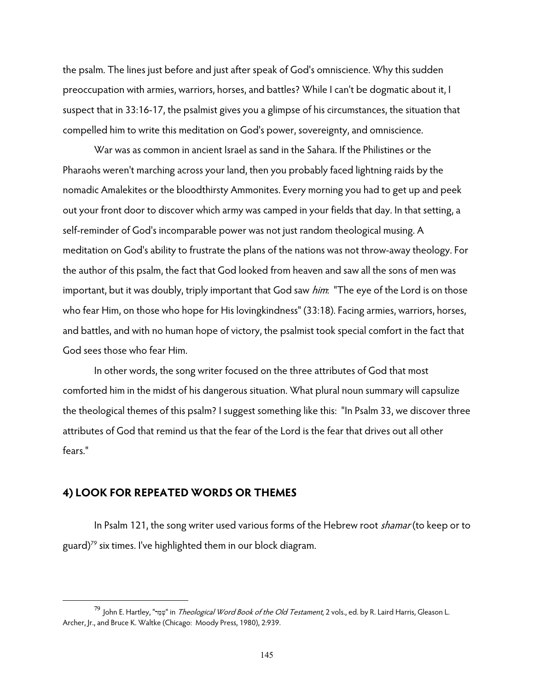the psalm. The lines just before and just after speak of God's omniscience. Why this sudden preoccupation with armies, warriors, horses, and battles? While I can't be dogmatic about it, I suspect that in 33:16-17, the psalmist gives you a glimpse of his circumstances, the situation that compelled him to write this meditation on God's power, sovereignty, and omniscience.

 War was as common in ancient Israel as sand in the Sahara. If the Philistines or the Pharaohs weren't marching across your land, then you probably faced lightning raids by the nomadic Amalekites or the bloodthirsty Ammonites. Every morning you had to get up and peek out your front door to discover which army was camped in your fields that day. In that setting, a self-reminder of God's incomparable power was not just random theological musing. A meditation on God's ability to frustrate the plans of the nations was not throw-away theology. For the author of this psalm, the fact that God looked from heaven and saw all the sons of men was important, but it was doubly, triply important that God saw *him*: "The eye of the Lord is on those who fear Him, on those who hope for His lovingkindness" (33:18). Facing armies, warriors, horses, and battles, and with no human hope of victory, the psalmist took special comfort in the fact that God sees those who fear Him.

 In other words, the song writer focused on the three attributes of God that most comforted him in the midst of his dangerous situation. What plural noun summary will capsulize the theological themes of this psalm? I suggest something like this: "In Psalm 33, we discover three attributes of God that remind us that the fear of the Lord is the fear that drives out all other fears."

#### **4) LOOK FOR REPEATED WORDS OR THEMES**

 $\overline{a}$ 

In Psalm 121, the song writer used various forms of the Hebrew root *shamar* (to keep or to guard) $79$  six times. I've highlighted them in our block diagram.

<sup>79</sup> John E. Hartley, "שָפֵר" in *Theological Word Book of the Old Testament*, 2 vols., ed. by R. Laird Harris, Gleason L. Archer, Jr., and Bruce K. Waltke (Chicago: Moody Press, 1980), 2:939.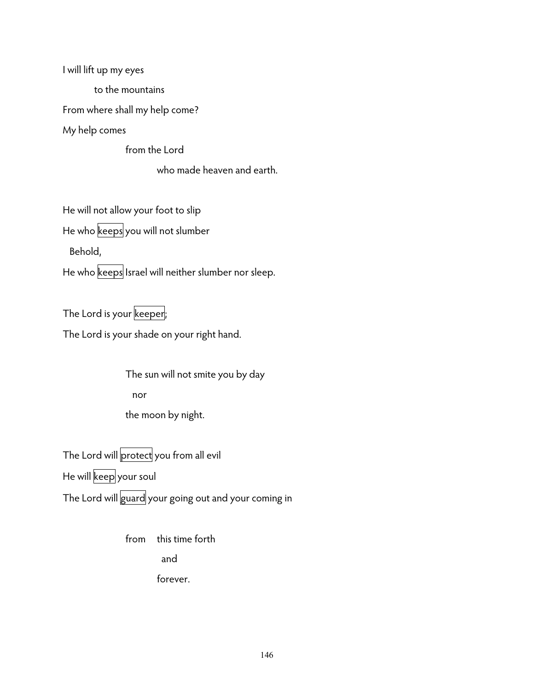I will lift up my eyes

to the mountains

From where shall my help come?

My help comes

from the Lord

who made heaven and earth.

He will not allow your foot to slip

He who keeps you will not slumber

Behold,

He who keeps Israel will neither slumber nor sleep.

The Lord is your keeper;

The Lord is your shade on your right hand.

The sun will not smite you by day nor the moon by night.

The Lord will protect you from all evil He will keep your soul The Lord will guard your going out and your coming in

> from this time forth and forever.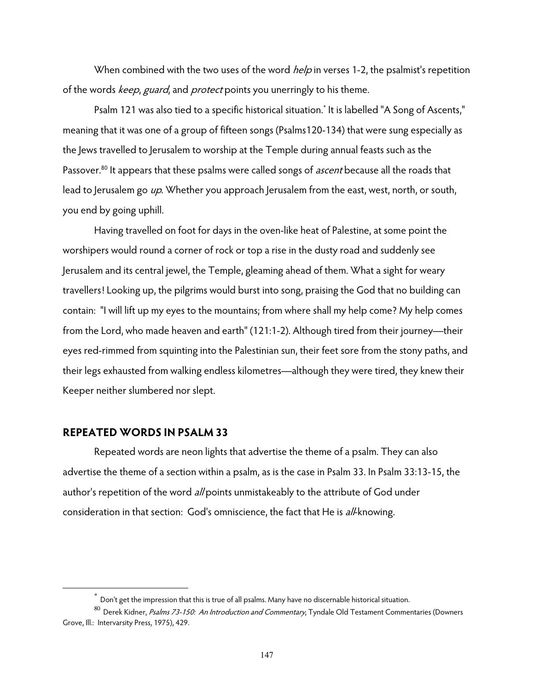When combined with the two uses of the word *help* in verses 1-2, the psalmist's repetition of the words keep, guard, and protect points you unerringly to his theme.

Psalm 121 was also tied to a specific historical situation.\* It is labelled "A Song of Ascents," meaning that it was one of a group of fifteen songs (Psalms120-134) that were sung especially as the Jews travelled to Jerusalem to worship at the Temple during annual feasts such as the Passover.<sup>80</sup> It appears that these psalms were called songs of *ascent* because all the roads that lead to Jerusalem go up. Whether you approach Jerusalem from the east, west, north, or south, you end by going uphill.

Having travelled on foot for days in the oven-like heat of Palestine, at some point the worshipers would round a corner of rock or top a rise in the dusty road and suddenly see Jerusalem and its central jewel, the Temple, gleaming ahead of them. What a sight for weary travellers! Looking up, the pilgrims would burst into song, praising the God that no building can contain: "I will lift up my eyes to the mountains; from where shall my help come? My help comes from the Lord, who made heaven and earth" (121:1-2). Although tired from their journey—their eyes red-rimmed from squinting into the Palestinian sun, their feet sore from the stony paths, and their legs exhausted from walking endless kilometres—although they were tired, they knew their Keeper neither slumbered nor slept.

#### **REPEATED WORDS IN PSALM 33**

 $\overline{a}$ 

Repeated words are neon lights that advertise the theme of a psalm. They can also advertise the theme of a section within a psalm, as is the case in Psalm 33. In Psalm 33:13-15, the author's repetition of the word all points unmistakeably to the attribute of God under consideration in that section: God's omniscience, the fact that He is all-knowing.

Don't get the impression that this is true of all psalms. Many have no discernable historical situation.

<sup>80</sup> Derek Kidner, Psalms 73-150: An Introduction and Commentary, Tyndale Old Testament Commentaries (Downers Grove, Ill.: Intervarsity Press, 1975), 429.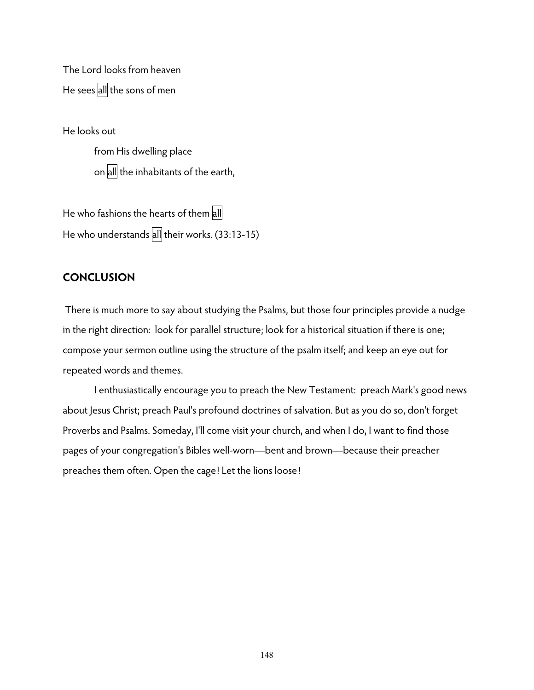The Lord looks from heaven He sees all the sons of men

He looks out from His dwelling place on all the inhabitants of the earth,

He who fashions the hearts of them all He who understands all their works. (33:13-15)

### **CONCLUSION**

 There is much more to say about studying the Psalms, but those four principles provide a nudge in the right direction: look for parallel structure; look for a historical situation if there is one; compose your sermon outline using the structure of the psalm itself; and keep an eye out for repeated words and themes.

I enthusiastically encourage you to preach the New Testament: preach Mark's good news about Jesus Christ; preach Paul's profound doctrines of salvation. But as you do so, don't forget Proverbs and Psalms. Someday, I'll come visit your church, and when I do, I want to find those pages of your congregation's Bibles well-worn—bent and brown—because their preacher preaches them often. Open the cage! Let the lions loose!

148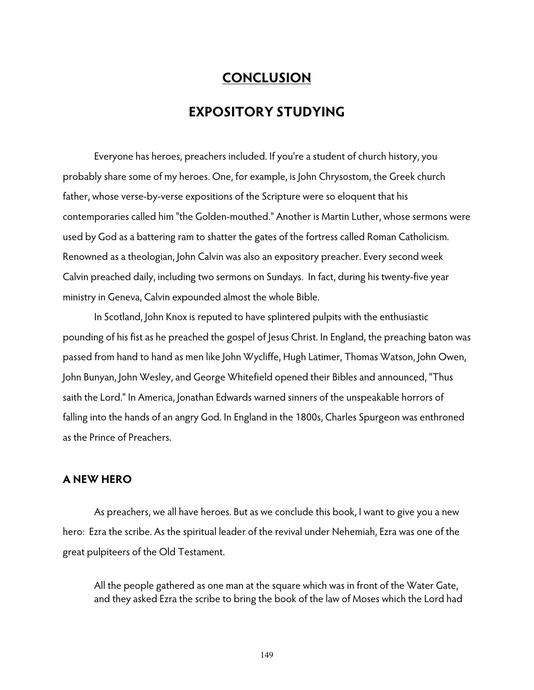# **CONCLUSION**

## **EXPOSITORY STUDYING**

 Everyone has heroes, preachers included. If you're a student of church history, you probably share some of my heroes. One, for example, is John Chrysostom, the Greek church father, whose verse-by-verse expositions of the Scripture were so eloquent that his contemporaries called him "the Golden-mouthed." Another is Martin Luther, whose sermons were used by God as a battering ram to shatter the gates of the fortress called Roman Catholicism. Renowned as a theologian, John Calvin was also an expository preacher. Every second week Calvin preached daily, including two sermons on Sundays. In fact, during his twenty-five year ministry in Geneva, Calvin expounded almost the whole Bible.

 In Scotland, John Knox is reputed to have splintered pulpits with the enthusiastic pounding of his fist as he preached the gospel of Jesus Christ. In England, the preaching baton was passed from hand to hand as men like John Wycliffe, Hugh Latimer, Thomas Watson, John Owen, John Bunyan, John Wesley, and George Whitefield opened their Bibles and announced, "Thus saith the Lord." In America, Jonathan Edwards warned sinners of the unspeakable horrors of falling into the hands of an angry God. In England in the 1800s, Charles Spurgeon was enthroned as the Prince of Preachers.

### **A NEW HERO**

 As preachers, we all have heroes. But as we conclude this book, I want to give you a new hero: Ezra the scribe. As the spiritual leader of the revival under Nehemiah, Ezra was one of the great pulpiteers of the Old Testament.

All the people gathered as one man at the square which was in front of the Water Gate, and they asked Ezra the scribe to bring the book of the law of Moses which the Lord had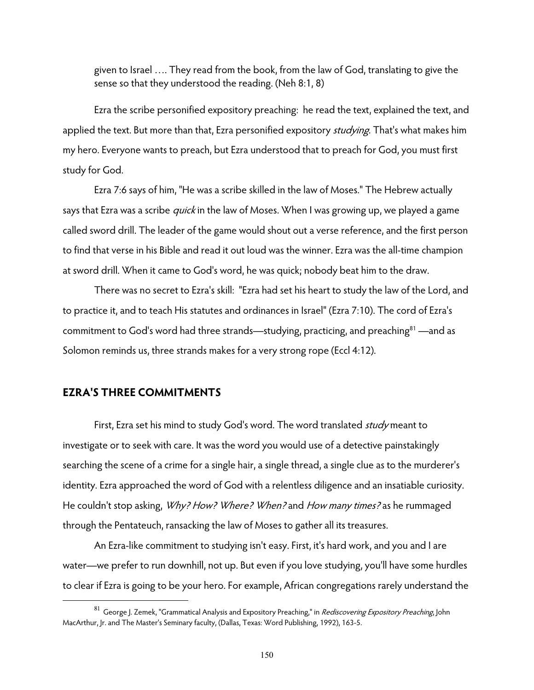given to Israel …. They read from the book, from the law of God, translating to give the sense so that they understood the reading. (Neh 8:1, 8)

 Ezra the scribe personified expository preaching: he read the text, explained the text, and applied the text. But more than that, Ezra personified expository *studying*. That's what makes him my hero. Everyone wants to preach, but Ezra understood that to preach for God, you must first study for God.

 Ezra 7:6 says of him, "He was a scribe skilled in the law of Moses." The Hebrew actually says that Ezra was a scribe *quick* in the law of Moses. When I was growing up, we played a game called sword drill. The leader of the game would shout out a verse reference, and the first person to find that verse in his Bible and read it out loud was the winner. Ezra was the all-time champion at sword drill. When it came to God's word, he was quick; nobody beat him to the draw.

 There was no secret to Ezra's skill: "Ezra had set his heart to study the law of the Lord, and to practice it, and to teach His statutes and ordinances in Israel" (Ezra 7:10). The cord of Ezra's commitment to God's word had three strands—studying, practicing, and preaching<sup>81</sup> —and as Solomon reminds us, three strands makes for a very strong rope (Eccl 4:12).

#### **EZRA'S THREE COMMITMENTS**

 $\overline{a}$ 

First, Ezra set his mind to study God's word. The word translated *study* meant to investigate or to seek with care. It was the word you would use of a detective painstakingly searching the scene of a crime for a single hair, a single thread, a single clue as to the murderer's identity. Ezra approached the word of God with a relentless diligence and an insatiable curiosity. He couldn't stop asking, *Why? How? Where? When?* and *How many times?* as he rummaged through the Pentateuch, ransacking the law of Moses to gather all its treasures.

An Ezra-like commitment to studying isn't easy. First, it's hard work, and you and I are water—we prefer to run downhill, not up. But even if you love studying, you'll have some hurdles to clear if Ezra is going to be your hero. For example, African congregations rarely understand the

 $^{81}$  George J. Zemek, "Grammatical Analysis and Expository Preaching," in *Rediscovering Expository Preaching*, John MacArthur, Jr. and The Master's Seminary faculty, (Dallas, Texas: Word Publishing, 1992), 163-5.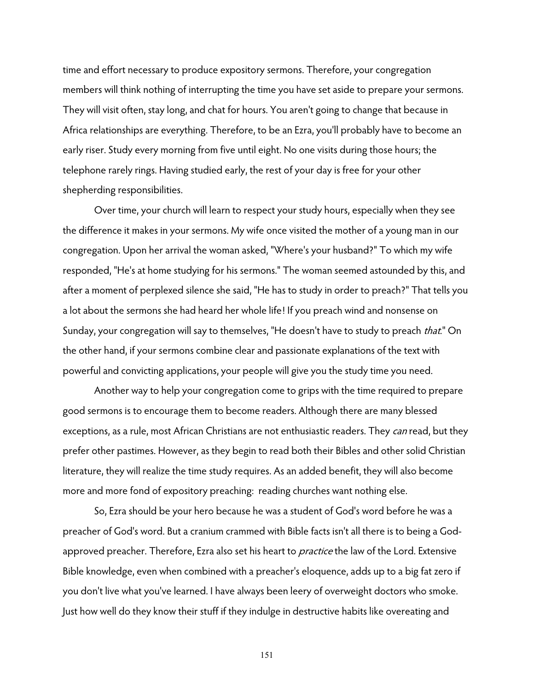time and effort necessary to produce expository sermons. Therefore, your congregation members will think nothing of interrupting the time you have set aside to prepare your sermons. They will visit often, stay long, and chat for hours. You aren't going to change that because in Africa relationships are everything. Therefore, to be an Ezra, you'll probably have to become an early riser. Study every morning from five until eight. No one visits during those hours; the telephone rarely rings. Having studied early, the rest of your day is free for your other shepherding responsibilities.

Over time, your church will learn to respect your study hours, especially when they see the difference it makes in your sermons. My wife once visited the mother of a young man in our congregation. Upon her arrival the woman asked, "Where's your husband?" To which my wife responded, "He's at home studying for his sermons." The woman seemed astounded by this, and after a moment of perplexed silence she said, "He has to study in order to preach?" That tells you a lot about the sermons she had heard her whole life! If you preach wind and nonsense on Sunday, your congregation will say to themselves, "He doesn't have to study to preach that." On the other hand, if your sermons combine clear and passionate explanations of the text with powerful and convicting applications, your people will give you the study time you need.

Another way to help your congregation come to grips with the time required to prepare good sermons is to encourage them to become readers. Although there are many blessed exceptions, as a rule, most African Christians are not enthusiastic readers. They can read, but they prefer other pastimes. However, as they begin to read both their Bibles and other solid Christian literature, they will realize the time study requires. As an added benefit, they will also become more and more fond of expository preaching: reading churches want nothing else.

So, Ezra should be your hero because he was a student of God's word before he was a preacher of God's word. But a cranium crammed with Bible facts isn't all there is to being a Godapproved preacher. Therefore, Ezra also set his heart to *practice* the law of the Lord. Extensive Bible knowledge, even when combined with a preacher's eloquence, adds up to a big fat zero if you don't live what you've learned. I have always been leery of overweight doctors who smoke. Just how well do they know their stuff if they indulge in destructive habits like overeating and

151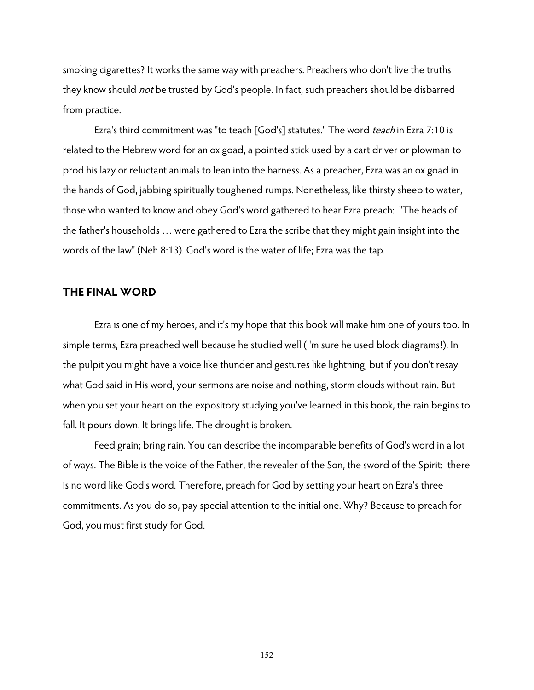smoking cigarettes? It works the same way with preachers. Preachers who don't live the truths they know should *not* be trusted by God's people. In fact, such preachers should be disbarred from practice.

Ezra's third commitment was "to teach [God's] statutes." The word *teach* in Ezra 7:10 is related to the Hebrew word for an ox goad, a pointed stick used by a cart driver or plowman to prod his lazy or reluctant animals to lean into the harness. As a preacher, Ezra was an ox goad in the hands of God, jabbing spiritually toughened rumps. Nonetheless, like thirsty sheep to water, those who wanted to know and obey God's word gathered to hear Ezra preach: "The heads of the father's households … were gathered to Ezra the scribe that they might gain insight into the words of the law" (Neh 8:13). God's word is the water of life; Ezra was the tap.

#### **THE FINAL WORD**

Ezra is one of my heroes, and it's my hope that this book will make him one of yours too. In simple terms, Ezra preached well because he studied well (I'm sure he used block diagrams!). In the pulpit you might have a voice like thunder and gestures like lightning, but if you don't resay what God said in His word, your sermons are noise and nothing, storm clouds without rain. But when you set your heart on the expository studying you've learned in this book, the rain begins to fall. It pours down. It brings life. The drought is broken.

Feed grain; bring rain. You can describe the incomparable benefits of God's word in a lot of ways. The Bible is the voice of the Father, the revealer of the Son, the sword of the Spirit: there is no word like God's word. Therefore, preach for God by setting your heart on Ezra's three commitments. As you do so, pay special attention to the initial one. Why? Because to preach for God, you must first study for God.

152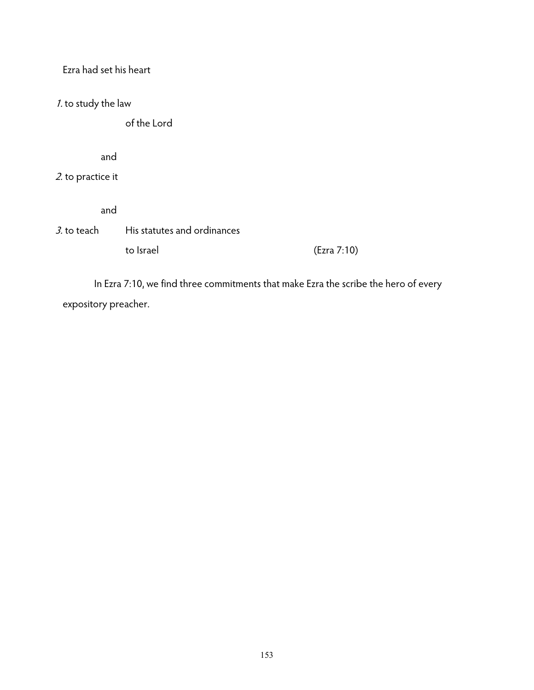| Ezra had set his heart |                             |             |
|------------------------|-----------------------------|-------------|
| 1. to study the law    |                             |             |
|                        | of the Lord                 |             |
| and                    |                             |             |
| 2. to practice it      |                             |             |
| and                    |                             |             |
| <i>3.</i> to teach     | His statutes and ordinances |             |
|                        | to Israel                   | (Ezra 7:10) |
|                        |                             |             |

 In Ezra 7:10, we find three commitments that make Ezra the scribe the hero of every expository preacher.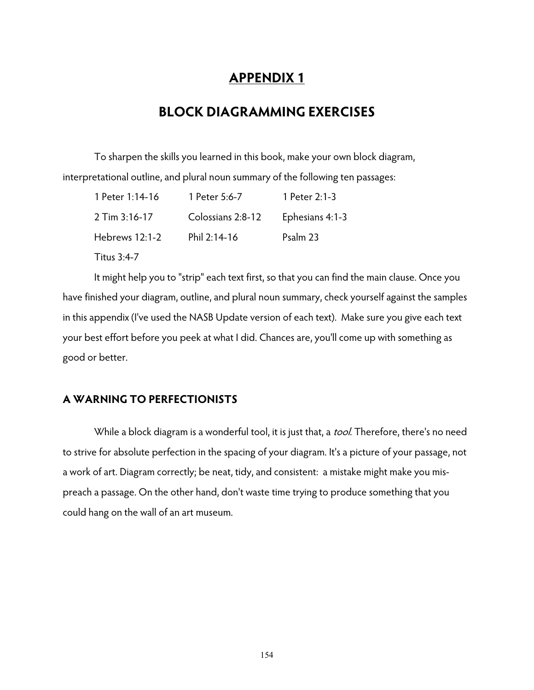# **APPENDIX 1**

# **BLOCK DIAGRAMMING EXERCISES**

To sharpen the skills you learned in this book, make your own block diagram, interpretational outline, and plural noun summary of the following ten passages:

| 1 Peter 1:14-16 | 1 Peter 5:6-7     | 1 Peter $2:1-3$ |
|-----------------|-------------------|-----------------|
| 2 Tim 3:16-17   | Colossians 2:8-12 | Ephesians 4:1-3 |
| Hebrews 12:1-2  | Phil 2:14-16      | Psalm 23        |
| Titus 3:4-7     |                   |                 |

It might help you to "strip" each text first, so that you can find the main clause. Once you have finished your diagram, outline, and plural noun summary, check yourself against the samples in this appendix (I've used the NASB Update version of each text). Make sure you give each text your best effort before you peek at what I did. Chances are, you'll come up with something as good or better.

## **A WARNING TO PERFECTIONISTS**

While a block diagram is a wonderful tool, it is just that, a *tool*. Therefore, there's no need to strive for absolute perfection in the spacing of your diagram. It's a picture of your passage, not a work of art. Diagram correctly; be neat, tidy, and consistent: a mistake might make you mispreach a passage. On the other hand, don't waste time trying to produce something that you could hang on the wall of an art museum.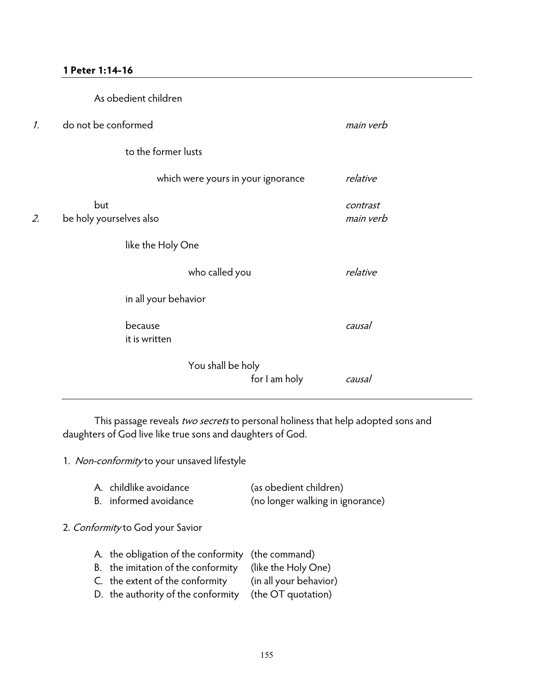#### **1 Peter 1:14-16**

|                 |                                | As obedient children     |                                    |               |                       |
|-----------------|--------------------------------|--------------------------|------------------------------------|---------------|-----------------------|
| $\mathcal{I}$ . | do not be conformed            |                          |                                    |               | main verb             |
|                 |                                | to the former lusts      |                                    |               |                       |
|                 |                                |                          | which were yours in your ignorance |               | relative              |
| 2.              | but<br>be holy yourselves also |                          |                                    |               | contrast<br>main verb |
|                 |                                | like the Holy One        |                                    |               |                       |
|                 |                                |                          | who called you                     |               | relative              |
|                 |                                | in all your behavior     |                                    |               |                       |
|                 |                                | because<br>it is written |                                    |               | causal                |
|                 |                                |                          | You shall be holy                  | for I am holy | causal                |

This passage reveals two secrets to personal holiness that help adopted sons and daughters of God live like true sons and daughters of God.

1. Non-conformity to your unsaved lifestyle

| A. childlike avoidance | (as obedient children)           |
|------------------------|----------------------------------|
| B. informed avoidance  | (no longer walking in ignorance) |

#### 2. Conformity to God your Savior

| A. the obligation of the conformity (the command)      |  |
|--------------------------------------------------------|--|
| B. the imitation of the conformity (like the Holy One) |  |

- C. the extent of the conformity (in all your behavior)
- D. the authority of the conformity (the OT quotation)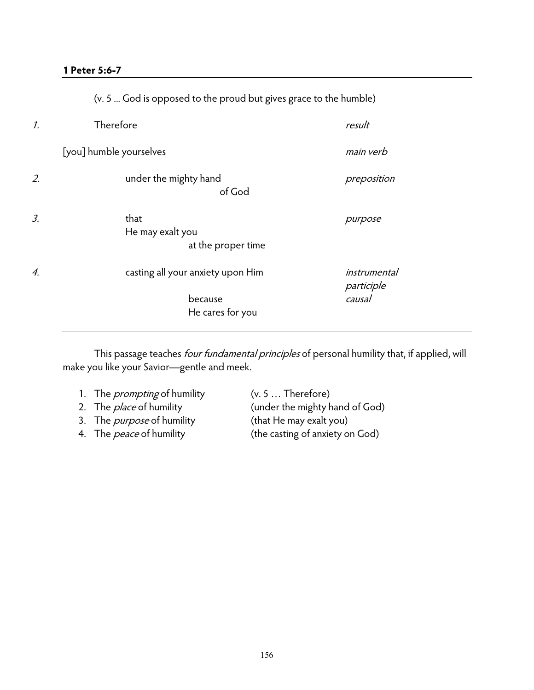### **1 Peter 5:6-7**

|                 | (v. 5  God is opposed to the proud but gives grace to the humble) |                                      |  |  |  |
|-----------------|-------------------------------------------------------------------|--------------------------------------|--|--|--|
| $\mathcal{I}$ . | Therefore                                                         | result                               |  |  |  |
|                 | [you] humble yourselves                                           | main verb                            |  |  |  |
| 2.              | under the mighty hand<br>of God                                   | preposition                          |  |  |  |
| 3.              | that<br>He may exalt you<br>at the proper time                    | purpose                              |  |  |  |
| 4.              | casting all your anxiety upon Him<br>because<br>He cares for you  | instrumental<br>participle<br>causal |  |  |  |

This passage teaches *four fundamental principles* of personal humility that, if applied, will make you like your Savior—gentle and meek.

| 1. The <i>prompting</i> of humility | $(v. 5 $ Therefore)             |
|-------------------------------------|---------------------------------|
| 2. The <i>place</i> of humility     | (under the mighty hand of God)  |
| 3. The <i>purpose</i> of humility   | (that He may exalt you)         |
| 4. The <i>peace</i> of humility     | (the casting of anxiety on God) |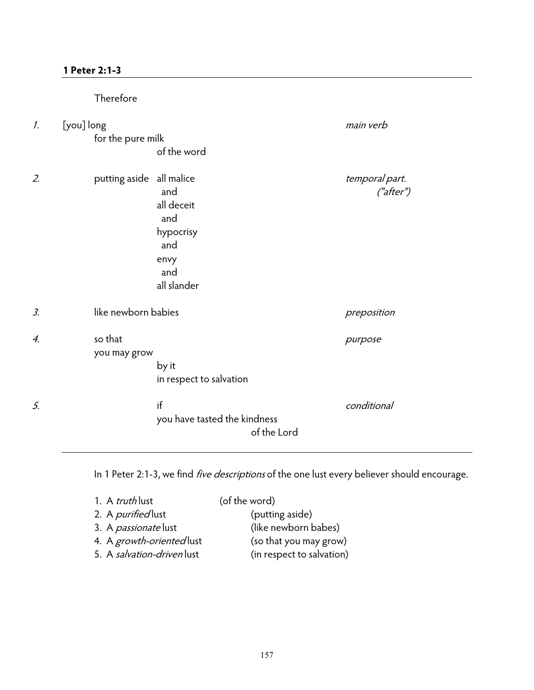## **1 Peter 2:1-3**

|                 | Therefore                       |                                                                            |                             |
|-----------------|---------------------------------|----------------------------------------------------------------------------|-----------------------------|
| $\mathcal{I}$ . | [you] long<br>for the pure milk | of the word                                                                | main verb                   |
| 2.              | putting aside all malice        | and<br>all deceit<br>and<br>hypocrisy<br>and<br>envy<br>and<br>all slander | temporal part.<br>("after") |
| $\mathfrak{Z}$  | like newborn babies             |                                                                            | preposition                 |
| 4.              | so that<br>you may grow         | by it<br>in respect to salvation                                           | purpose                     |
| 5.              |                                 | if<br>you have tasted the kindness<br>of the Lord                          | conditional                 |

In 1 Peter 2:1-3, we find *five descriptions* of the one lust every believer should encourage.

| 1. A <i>truth</i> lust      | (of the word)             |
|-----------------------------|---------------------------|
| 2. A <i>purified</i> lust   | (putting aside)           |
| 3. A <i>passionate</i> lust | (like newborn babes)      |
| 4. A growth-oriented lust   | (so that you may grow)    |
| 5. A salvation-driven lust  | (in respect to salvation) |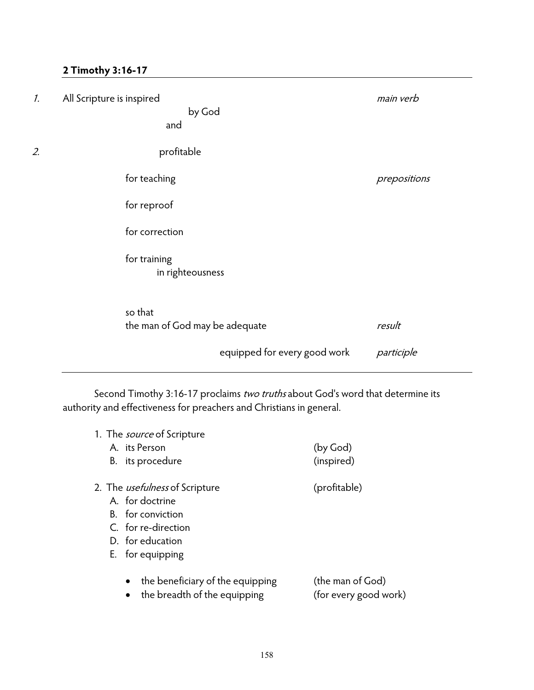## **2 Timothy 3:16-17**

| $\mathcal{I}$ . | All Scripture is inspired<br>by God<br>and | main verb    |
|-----------------|--------------------------------------------|--------------|
| 2.              | profitable                                 |              |
|                 | for teaching                               | prepositions |
|                 | for reproof                                |              |
|                 | for correction                             |              |
|                 | for training<br>in righteousness           |              |
|                 | so that<br>the man of God may be adequate  | result       |
|                 | equipped for every good work               | participle   |

Second Timothy 3:16-17 proclaims two truths about God's word that determine its authority and effectiveness for preachers and Christians in general.

| 1. The <i>source</i> of Scripture                                |                                           |
|------------------------------------------------------------------|-------------------------------------------|
| A. its Person                                                    | (by God)                                  |
| B. its procedure                                                 | (inspired)                                |
| 2. The <i>usefulness</i> of Scripture                            | (profitable)                              |
| A. for doctrine                                                  |                                           |
| B. for conviction                                                |                                           |
| C. for re-direction                                              |                                           |
| D. for education                                                 |                                           |
| E. for equipping                                                 |                                           |
| the beneficiary of the equipping<br>the breadth of the equipping | (the man of God)<br>(for every good work) |
|                                                                  |                                           |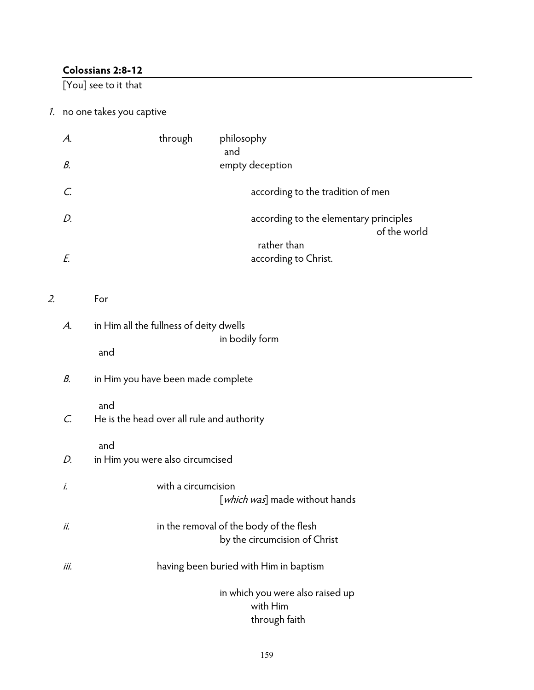## **Colossians 2:8-12**

[You] see to it that

## 1. no one takes you captive

|    | А.   | through<br>philosophy<br>and                                             |  |  |  |
|----|------|--------------------------------------------------------------------------|--|--|--|
|    | В.   | empty deception                                                          |  |  |  |
|    | C.   | according to the tradition of men                                        |  |  |  |
|    | D.   | according to the elementary principles<br>of the world                   |  |  |  |
|    | E.   | rather than<br>according to Christ.                                      |  |  |  |
| 2. |      | For                                                                      |  |  |  |
|    | A.   | in Him all the fullness of deity dwells                                  |  |  |  |
|    |      | in bodily form<br>and                                                    |  |  |  |
|    | В.   | in Him you have been made complete                                       |  |  |  |
|    | C.   | and<br>He is the head over all rule and authority                        |  |  |  |
|    | D.   | and<br>in Him you were also circumcised                                  |  |  |  |
|    | i.   | with a circumcision<br>[which was] made without hands                    |  |  |  |
|    | ii.  | in the removal of the body of the flesh<br>by the circumcision of Christ |  |  |  |
|    | iii. | having been buried with Him in baptism                                   |  |  |  |
|    |      | in which you were also raised up<br>with Him<br>through faith            |  |  |  |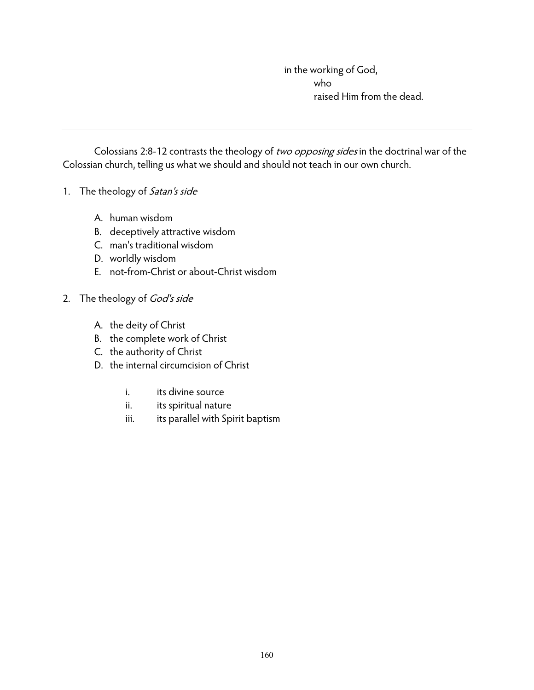in the working of God, who raised Him from the dead.

Colossians 2:8-12 contrasts the theology of two opposing sides in the doctrinal war of the Colossian church, telling us what we should and should not teach in our own church.

- 1. The theology of Satan's side
	- A. human wisdom
	- B. deceptively attractive wisdom
	- C. man's traditional wisdom
	- D. worldly wisdom
	- E. not-from-Christ or about-Christ wisdom
- 2. The theology of God's side
	- A. the deity of Christ
	- B. the complete work of Christ
	- C. the authority of Christ
	- D. the internal circumcision of Christ
		- i. its divine source
		- ii. its spiritual nature
		- iii. its parallel with Spirit baptism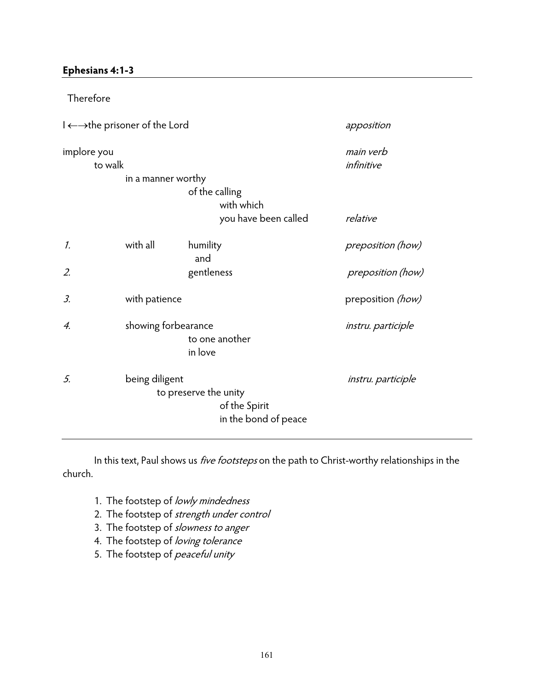## **Ephesians 4:1-3**

| Therefore              |                                                                   |                                                                |                           |  |  |
|------------------------|-------------------------------------------------------------------|----------------------------------------------------------------|---------------------------|--|--|
|                        | $I \leftarrow \rightarrow$ the prisoner of the Lord<br>apposition |                                                                |                           |  |  |
| implore you<br>to walk | in a manner worthy                                                |                                                                | main verb<br>infinitive   |  |  |
|                        |                                                                   | of the calling<br>with which<br>you have been called           | relative                  |  |  |
| 1.                     | with all                                                          | humility<br>and                                                | preposition (how)         |  |  |
| 2.                     |                                                                   | gentleness                                                     | preposition (how)         |  |  |
| 3.                     | with patience                                                     |                                                                | preposition (how)         |  |  |
| 4.                     | showing forbearance                                               | to one another<br>in love                                      | instru. participle        |  |  |
| 5.                     | being diligent                                                    | to preserve the unity<br>of the Spirit<br>in the bond of peace | <i>instru. participle</i> |  |  |

In this text, Paul shows us *five footsteps* on the path to Christ-worthy relationships in the church.

- 1. The footstep of lowly mindedness
- 2. The footstep of strength under control
- 3. The footstep of slowness to anger
- 4. The footstep of loving tolerance
- 5. The footstep of peaceful unity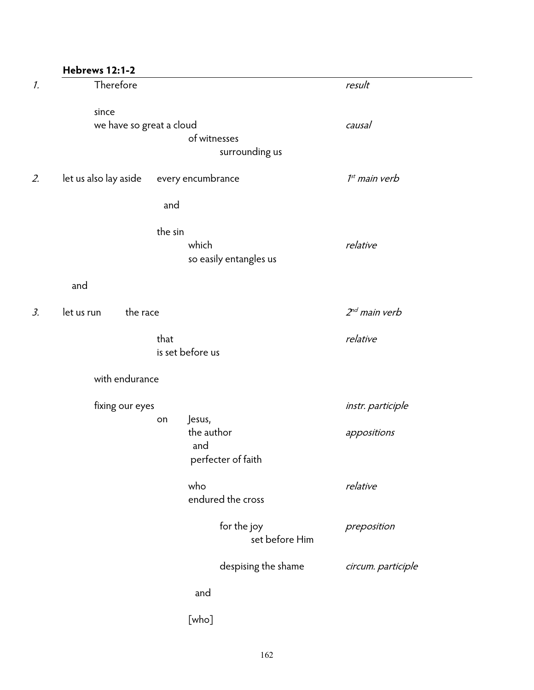| Therefore<br>result<br>since<br>we have so great a cloud<br>causal<br>of witnesses<br>surrounding us<br>every encumbrance<br>$1st$ main verb<br>let us also lay aside<br>and<br>the sin<br>which<br>relative<br>so easily entangles us<br>and<br>$2nd$ main verb<br>the race<br>let us run |  |
|--------------------------------------------------------------------------------------------------------------------------------------------------------------------------------------------------------------------------------------------------------------------------------------------|--|
|                                                                                                                                                                                                                                                                                            |  |
|                                                                                                                                                                                                                                                                                            |  |
|                                                                                                                                                                                                                                                                                            |  |
|                                                                                                                                                                                                                                                                                            |  |
|                                                                                                                                                                                                                                                                                            |  |
|                                                                                                                                                                                                                                                                                            |  |
|                                                                                                                                                                                                                                                                                            |  |
|                                                                                                                                                                                                                                                                                            |  |
|                                                                                                                                                                                                                                                                                            |  |
|                                                                                                                                                                                                                                                                                            |  |
|                                                                                                                                                                                                                                                                                            |  |
|                                                                                                                                                                                                                                                                                            |  |
| that<br>relative                                                                                                                                                                                                                                                                           |  |
| is set before us                                                                                                                                                                                                                                                                           |  |
| with endurance                                                                                                                                                                                                                                                                             |  |
| fixing our eyes<br>instr. participle                                                                                                                                                                                                                                                       |  |
| Jesus,<br>on                                                                                                                                                                                                                                                                               |  |
| the author<br>appositions                                                                                                                                                                                                                                                                  |  |
| and                                                                                                                                                                                                                                                                                        |  |
| perfecter of faith                                                                                                                                                                                                                                                                         |  |
| relative<br>who                                                                                                                                                                                                                                                                            |  |
| endured the cross                                                                                                                                                                                                                                                                          |  |
| for the joy<br>preposition                                                                                                                                                                                                                                                                 |  |
| set before Him                                                                                                                                                                                                                                                                             |  |
| despising the shame<br>circum. participle                                                                                                                                                                                                                                                  |  |
| and                                                                                                                                                                                                                                                                                        |  |
| [who]                                                                                                                                                                                                                                                                                      |  |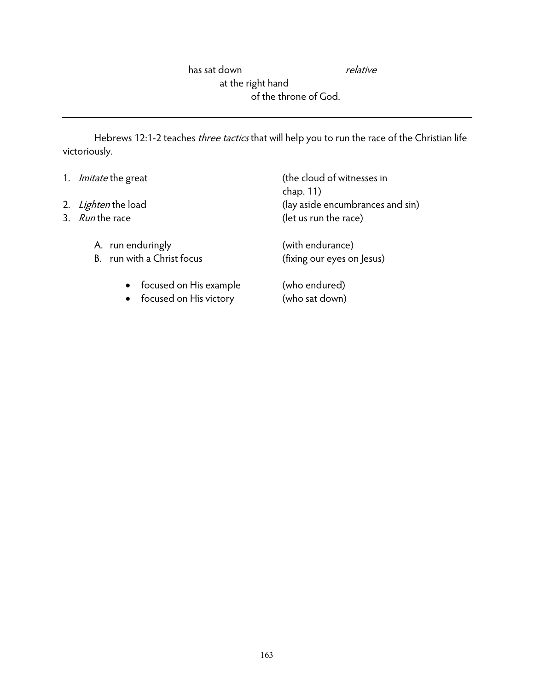has sat down relative at the right hand of the throne of God.

Hebrews 12:1-2 teaches *three tactics* that will help you to run the race of the Christian life victoriously.

| 1. <i>Imitate</i> the great | (the cloud of witnesses in<br>chap. 11) |
|-----------------------------|-----------------------------------------|
| 2. Lighten the load         | (lay aside encumbrances and sin)        |
| 3. Run the race             | (let us run the race)                   |
| A. run enduringly           | (with endurance)                        |
| B. run with a Christ focus  | (fixing our eyes on Jesus)              |
| • focused on His example    | (who endured)                           |
| • focused on His victory    | (who sat down)                          |

163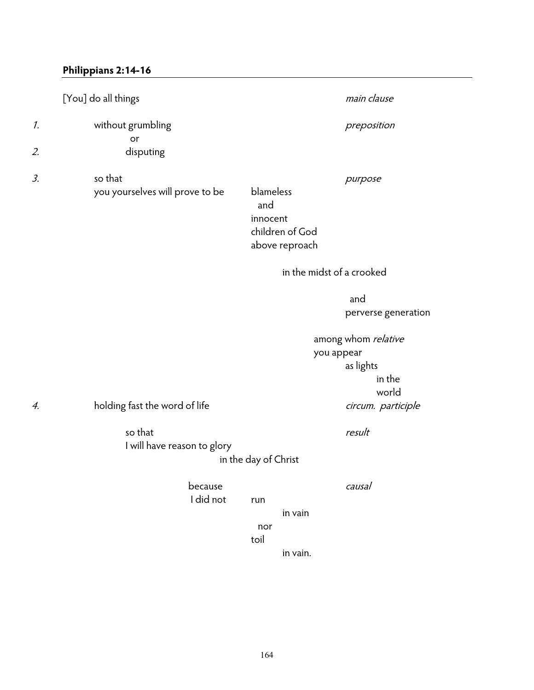## **Philippians 2:14-16**

|    | [You] do all things                        | main clause                                                                                       |  |
|----|--------------------------------------------|---------------------------------------------------------------------------------------------------|--|
| 1. | without grumbling                          | preposition                                                                                       |  |
| 2. | or<br>disputing                            |                                                                                                   |  |
| 3. | so that<br>you yourselves will prove to be | purpose<br>blameless<br>and<br>innocent<br>children of God<br>above reproach                      |  |
|    |                                            | in the midst of a crooked                                                                         |  |
|    |                                            | and<br>perverse generation                                                                        |  |
| 4. | holding fast the word of life<br>so that   | among whom relative<br>you appear<br>as lights<br>in the<br>world<br>circum. participle<br>result |  |
|    | I will have reason to glory                | in the day of Christ                                                                              |  |
|    | because<br>I did not                       | causal<br>run<br>in vain<br>nor<br>toil<br>in vain.                                               |  |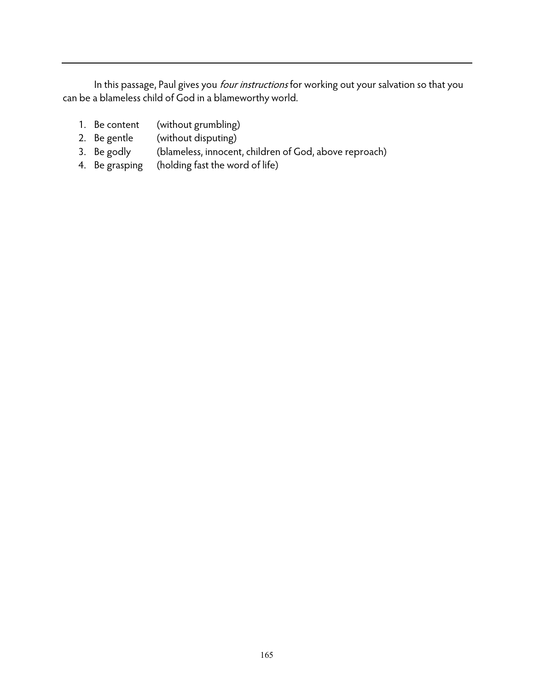In this passage, Paul gives you *four instructions* for working out your salvation so that you can be a blameless child of God in a blameworthy world.

- 1. Be content (without grumbling)
- 2. Be gentle (without disputing)
- 3. Be godly (blameless, innocent, children of God, above reproach)
- 4. Be grasping (holding fast the word of life)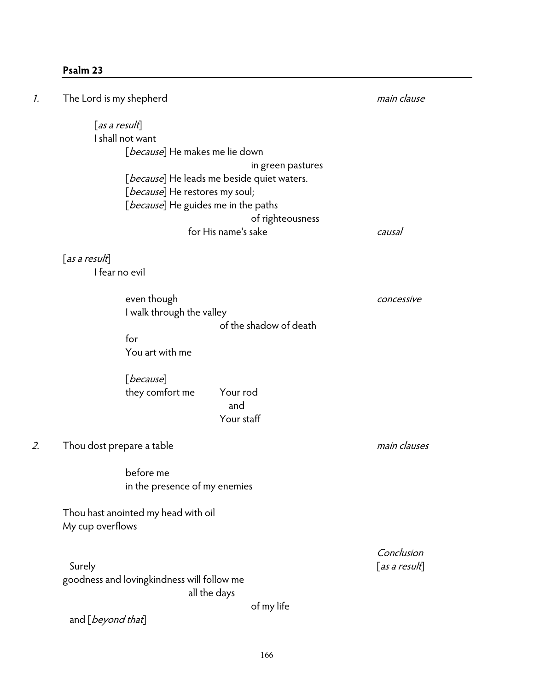## **Psalm 23**

| 1. | The Lord is my shepherd                    | main clause   |
|----|--------------------------------------------|---------------|
|    | $[$ as a result]                           |               |
|    | I shall not want                           |               |
|    | [because] He makes me lie down             |               |
|    |                                            |               |
|    | in green pastures                          |               |
|    | [because] He leads me beside quiet waters. |               |
|    | [because] He restores my soul;             |               |
|    | [because] He guides me in the paths        |               |
|    | of righteousness                           |               |
|    | for His name's sake                        | causal        |
|    | $[$ as a result $]$                        |               |
|    | I fear no evil                             |               |
|    | even though                                | concessive    |
|    | I walk through the valley                  |               |
|    | of the shadow of death                     |               |
|    | for                                        |               |
|    | You art with me                            |               |
|    | [because]                                  |               |
|    | they comfort me<br>Your rod                |               |
|    | and                                        |               |
|    | Your staff                                 |               |
| 2. | Thou dost prepare a table                  | main clauses  |
|    |                                            |               |
|    | before me                                  |               |
|    | in the presence of my enemies              |               |
|    |                                            |               |
|    | Thou hast anointed my head with oil        |               |
|    | My cup overflows                           |               |
|    |                                            | Conclusion    |
|    | Surely                                     | [as a result] |
|    | goodness and lovingkindness will follow me |               |
|    | all the days                               |               |
|    | of my life                                 |               |
|    | and [ <i>beyond that</i> ]                 |               |
|    |                                            |               |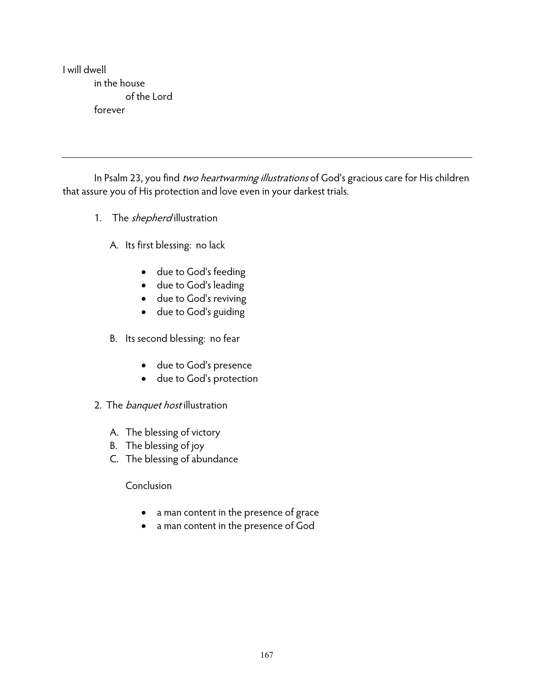I will dwell in the house of the Lord forever

In Psalm 23, you find two heartwarming illustrations of God's gracious care for His children that assure you of His protection and love even in your darkest trials.

1. The *shepherd* illustration

A. Its first blessing: no lack

- due to God's feeding
- due to God's leading
- due to God's reviving
- due to God's guiding
- B. Its second blessing: no fear
	- due to God's presence
	- due to God's protection
- 2. The *banquet host* illustration
	- A. The blessing of victory
	- B. The blessing of joy
	- C. The blessing of abundance

## Conclusion

- a man content in the presence of grace
- a man content in the presence of God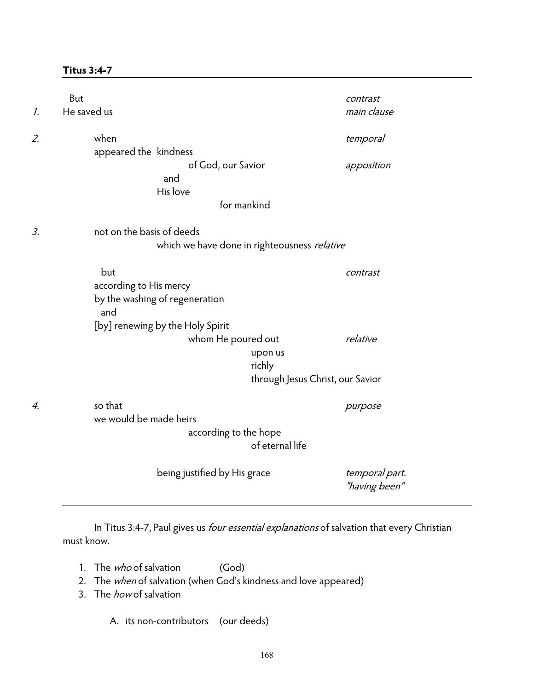#### **Titus 3:4-7**

| $\mathcal{I}$ . | But<br>He saved us |                                                                        | contrast<br>main clause         |
|-----------------|--------------------|------------------------------------------------------------------------|---------------------------------|
| 2.              |                    | when<br>appeared the kindness                                          | temporal                        |
|                 |                    | of God, our Savior<br>and                                              | apposition                      |
|                 |                    | His love<br>for mankind                                                |                                 |
| 3.              |                    | not on the basis of deeds                                              |                                 |
|                 |                    | which we have done in righteousness relative                           |                                 |
|                 |                    | but<br>according to His mercy<br>by the washing of regeneration<br>and | contrast                        |
|                 |                    | [by] renewing by the Holy Spirit                                       |                                 |
|                 |                    | whom He poured out<br>upon us<br>richly                                | relative                        |
|                 |                    | through Jesus Christ, our Savior                                       |                                 |
| 4.              |                    | so that<br>we would be made heirs<br>according to the hope             | purpose                         |
|                 |                    | of eternal life                                                        |                                 |
|                 |                    | being justified by His grace                                           | temporal part.<br>"having been" |

In Titus 3:4-7, Paul gives us *four essential explanations* of salvation that every Christian must know.

- 1. The *who* of salvation (God)
- 2. The when of salvation (when God's kindness and love appeared)
- 3. The *how* of salvation

A. its non-contributors (our deeds)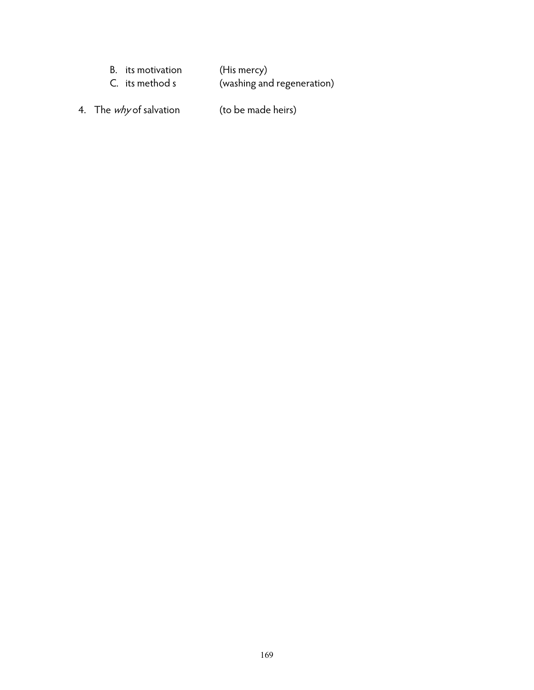| B. its motivation | (His mercy)                |
|-------------------|----------------------------|
| C. its method s   | (washing and regeneration) |

4. The *why* of salvation (to be made heirs)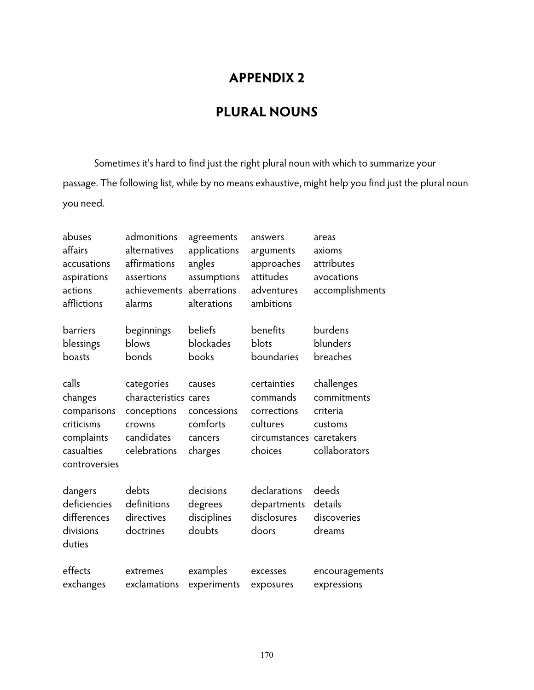# **APPENDIX 2**

## **PLURAL NOUNS**

 Sometimes it's hard to find just the right plural noun with which to summarize your passage. The following list, while by no means exhaustive, might help you find just the plural noun you need.

| abuses<br>affairs<br>accusations<br>aspirations<br>actions<br>afflictions                  | admonitions<br>alternatives<br>affirmations<br>assertions<br>achievements<br>alarms        | agreements<br>applications<br>angles<br>assumptions<br>aberrations<br>alterations | answers<br>arguments<br>approaches<br>attitudes<br>adventures<br>ambitions                | areas<br>axioms<br>attributes<br>avocations<br>accomplishments    |
|--------------------------------------------------------------------------------------------|--------------------------------------------------------------------------------------------|-----------------------------------------------------------------------------------|-------------------------------------------------------------------------------------------|-------------------------------------------------------------------|
| barriers<br>blessings<br>boasts                                                            | beginnings<br>blows<br>bonds                                                               | beliefs<br>blockades<br>books                                                     | benefits<br>blots<br>boundaries                                                           | burdens<br>blunders<br>breaches                                   |
| calls<br>changes<br>comparisons<br>criticisms<br>complaints<br>casualties<br>controversies | categories<br>characteristics cares<br>conceptions<br>crowns<br>candidates<br>celebrations | causes<br>concessions<br>comforts<br>cancers<br>charges                           | certainties<br>commands<br>corrections<br>cultures<br>circumstances caretakers<br>choices | challenges<br>commitments<br>criteria<br>customs<br>collaborators |
| dangers<br>deficiencies<br>differences<br>divisions<br>duties                              | debts<br>definitions<br>directives<br>doctrines                                            | decisions<br>degrees<br>disciplines<br>doubts                                     | declarations<br>departments<br>disclosures<br>doors                                       | deeds<br>details<br>discoveries<br>dreams                         |
| effects<br>exchanges                                                                       | extremes<br>exclamations                                                                   | examples<br>experiments                                                           | excesses<br>exposures                                                                     | encouragements<br>expressions                                     |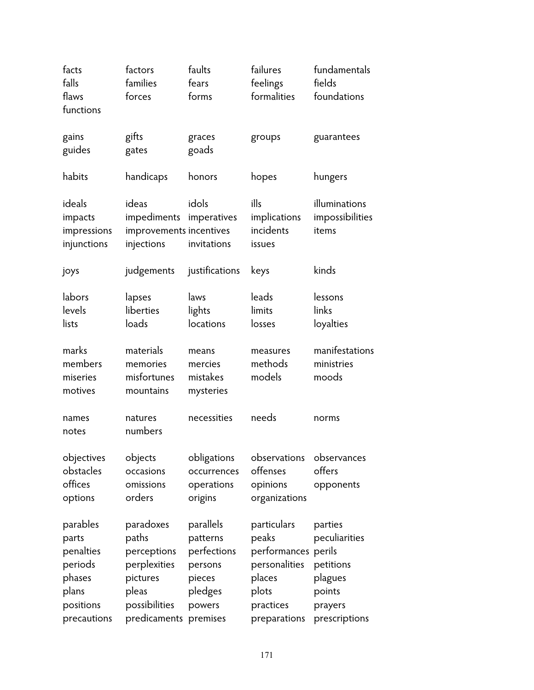| facts<br>falls<br>flaws                                                                  | factors<br>families                                                                                              | faults<br>fears                                                                | failures<br>feelings                                                                                         | fundamentals<br>fields                                                                 |
|------------------------------------------------------------------------------------------|------------------------------------------------------------------------------------------------------------------|--------------------------------------------------------------------------------|--------------------------------------------------------------------------------------------------------------|----------------------------------------------------------------------------------------|
| functions                                                                                | forces                                                                                                           | forms                                                                          | formalities                                                                                                  | foundations                                                                            |
| gains<br>guides                                                                          | gifts<br>gates                                                                                                   | graces<br>goads                                                                | groups                                                                                                       | guarantees                                                                             |
| habits                                                                                   | handicaps                                                                                                        | honors                                                                         | hopes                                                                                                        | hungers                                                                                |
| ideals<br>impacts<br>impressions<br>injunctions                                          | ideas<br>impediments<br>improvements incentives<br>injections                                                    | idols<br>imperatives<br>invitations                                            | ills<br>implications<br>incidents<br>issues                                                                  | illuminations<br>impossibilities<br>items                                              |
| joys                                                                                     | judgements                                                                                                       | justifications                                                                 | keys                                                                                                         | kinds                                                                                  |
| labors<br>levels<br>lists                                                                | lapses<br>liberties<br>loads                                                                                     | laws<br>lights<br>locations                                                    | leads<br>limits<br>losses                                                                                    | lessons<br>links<br>loyalties                                                          |
| marks<br>members<br>miseries<br>motives                                                  | materials<br>memories<br>misfortunes<br>mountains                                                                | means<br>mercies<br>mistakes<br>mysteries                                      | measures<br>methods<br>models                                                                                | manifestations<br>ministries<br>moods                                                  |
| names<br>notes                                                                           | natures<br>numbers                                                                                               | necessities                                                                    | needs                                                                                                        | norms                                                                                  |
| objectives<br>obstacles<br>offices<br>options                                            | objects<br>occasions<br>omissions<br>orders                                                                      | obligations<br>occurrences<br>operations<br>origins                            | observations<br>offenses<br>opinions<br>organizations                                                        | observances<br>offers<br>opponents                                                     |
| parables<br>parts<br>penalties<br>periods<br>phases<br>plans<br>positions<br>precautions | paradoxes<br>paths<br>perceptions<br>perplexities<br>pictures<br>pleas<br>possibilities<br>predicaments premises | parallels<br>patterns<br>perfections<br>persons<br>pieces<br>pledges<br>powers | particulars<br>peaks<br>performances perils<br>personalities<br>places<br>plots<br>practices<br>preparations | parties<br>peculiarities<br>petitions<br>plagues<br>points<br>prayers<br>prescriptions |